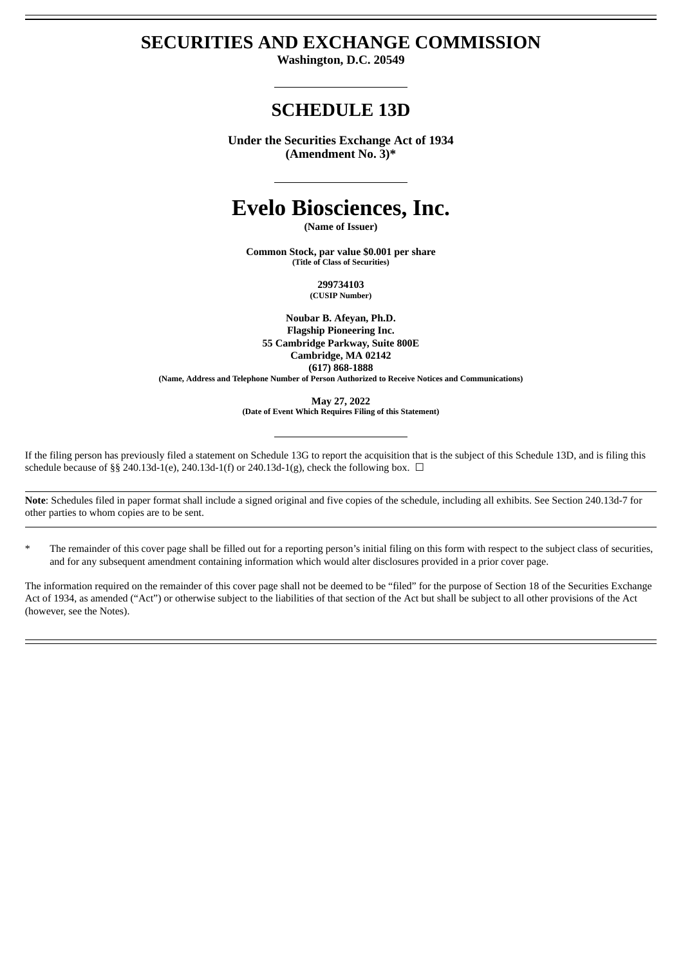## **SECURITIES AND EXCHANGE COMMISSION**

**Washington, D.C. 20549**

# **SCHEDULE 13D**

**Under the Securities Exchange Act of 1934 (Amendment No. 3)\***

# **Evelo Biosciences, Inc.**

**(Name of Issuer)**

**Common Stock, par value \$0.001 per share (Title of Class of Securities)**

> **299734103 (CUSIP Number)**

**Noubar B. Afeyan, Ph.D. Flagship Pioneering Inc. 55 Cambridge Parkway, Suite 800E Cambridge, MA 02142 (617) 868-1888 (Name, Address and Telephone Number of Person Authorized to Receive Notices and Communications)**

> **May 27, 2022 (Date of Event Which Requires Filing of this Statement)**

If the filing person has previously filed a statement on Schedule 13G to report the acquisition that is the subject of this Schedule 13D, and is filing this schedule because of §§ 240.13d-1(e), 240.13d-1(f) or 240.13d-1(g), check the following box.  $\Box$ 

**Note**: Schedules filed in paper format shall include a signed original and five copies of the schedule, including all exhibits. See Section 240.13d-7 for other parties to whom copies are to be sent.

The remainder of this cover page shall be filled out for a reporting person's initial filing on this form with respect to the subject class of securities, and for any subsequent amendment containing information which would alter disclosures provided in a prior cover page.

The information required on the remainder of this cover page shall not be deemed to be "filed" for the purpose of Section 18 of the Securities Exchange Act of 1934, as amended ("Act") or otherwise subject to the liabilities of that section of the Act but shall be subject to all other provisions of the Act (however, see the Notes).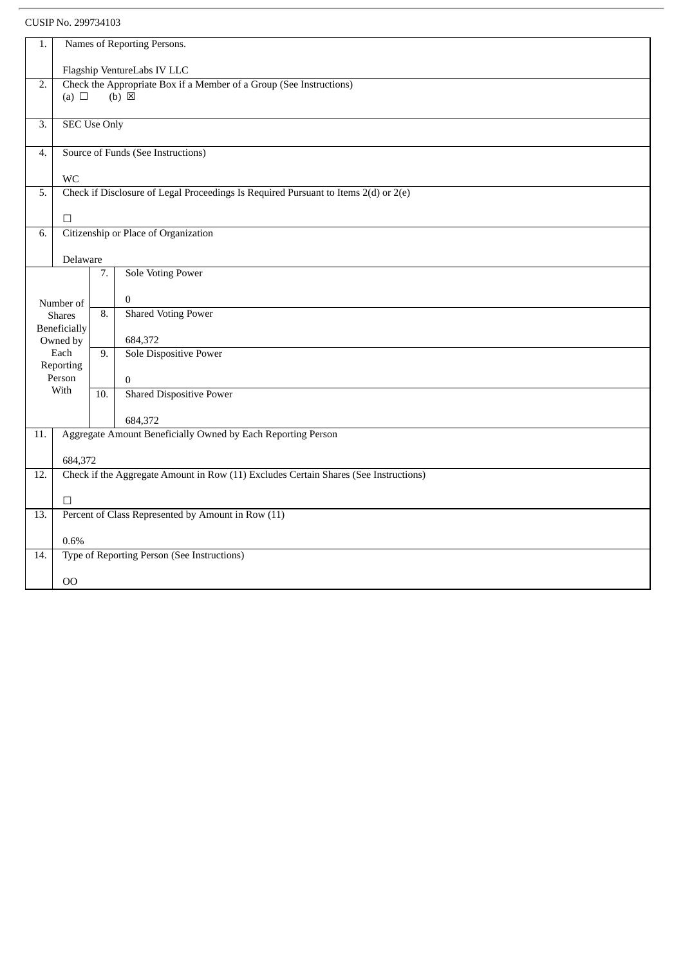| 1.               | Names of Reporting Persons.               |                  |                                                                                      |  |  |  |  |
|------------------|-------------------------------------------|------------------|--------------------------------------------------------------------------------------|--|--|--|--|
|                  | Flagship VentureLabs IV LLC               |                  |                                                                                      |  |  |  |  |
| $\overline{2}$ . |                                           |                  | Check the Appropriate Box if a Member of a Group (See Instructions)                  |  |  |  |  |
|                  | (a) $\Box$                                |                  | $(b)$ $\overline{\boxtimes}$                                                         |  |  |  |  |
| 3.               | <b>SEC Use Only</b>                       |                  |                                                                                      |  |  |  |  |
| 4.               |                                           |                  | Source of Funds (See Instructions)                                                   |  |  |  |  |
|                  | <b>WC</b>                                 |                  |                                                                                      |  |  |  |  |
| 5.               |                                           |                  | Check if Disclosure of Legal Proceedings Is Required Pursuant to Items 2(d) or 2(e)  |  |  |  |  |
|                  |                                           |                  |                                                                                      |  |  |  |  |
| 6.               | П<br>Citizenship or Place of Organization |                  |                                                                                      |  |  |  |  |
|                  |                                           |                  |                                                                                      |  |  |  |  |
|                  | Delaware                                  |                  |                                                                                      |  |  |  |  |
|                  |                                           | 7.               | <b>Sole Voting Power</b>                                                             |  |  |  |  |
|                  | Number of                                 |                  | $\mathbf{0}$                                                                         |  |  |  |  |
|                  | <b>Shares</b>                             | $\overline{8}$ . | <b>Shared Voting Power</b>                                                           |  |  |  |  |
|                  | Beneficially<br>Owned by                  |                  | 684,372                                                                              |  |  |  |  |
|                  | Each                                      | $\overline{9}$ . | <b>Sole Dispositive Power</b>                                                        |  |  |  |  |
|                  | Reporting                                 |                  |                                                                                      |  |  |  |  |
|                  | Person<br>With                            |                  | $\mathbf{0}$                                                                         |  |  |  |  |
|                  |                                           | 10.              | <b>Shared Dispositive Power</b>                                                      |  |  |  |  |
|                  |                                           |                  | 684,372                                                                              |  |  |  |  |
| 11.              |                                           |                  | Aggregate Amount Beneficially Owned by Each Reporting Person                         |  |  |  |  |
|                  | 684,372                                   |                  |                                                                                      |  |  |  |  |
| 12.              |                                           |                  | Check if the Aggregate Amount in Row (11) Excludes Certain Shares (See Instructions) |  |  |  |  |
|                  |                                           |                  |                                                                                      |  |  |  |  |
| 13.              | $\Box$                                    |                  | Percent of Class Represented by Amount in Row (11)                                   |  |  |  |  |
|                  |                                           |                  |                                                                                      |  |  |  |  |
|                  | 0.6%                                      |                  |                                                                                      |  |  |  |  |
| 14.              |                                           |                  | Type of Reporting Person (See Instructions)                                          |  |  |  |  |
|                  | <sub>00</sub>                             |                  |                                                                                      |  |  |  |  |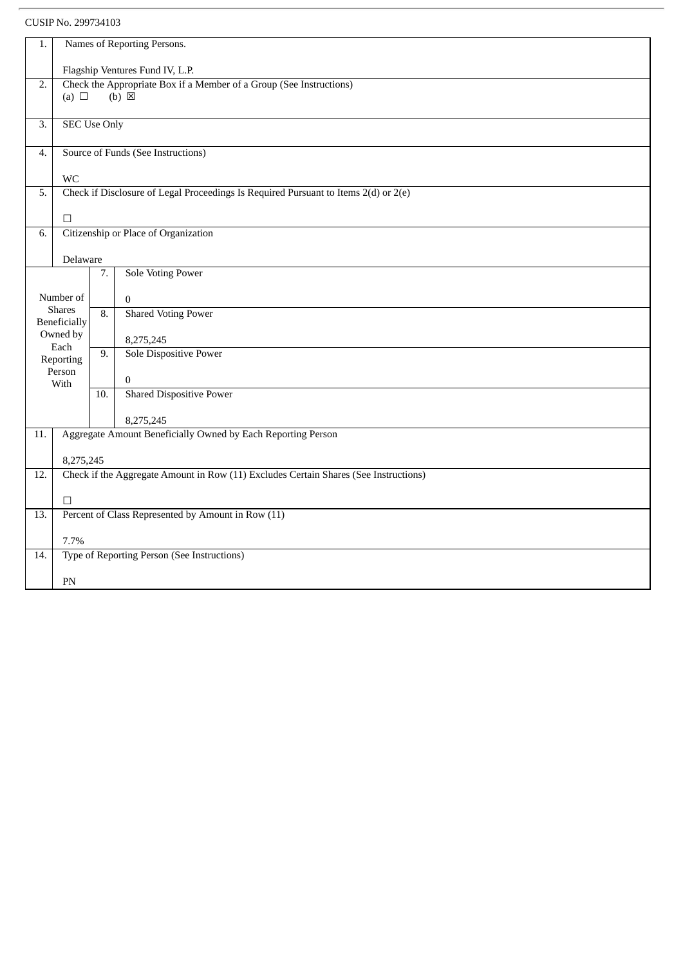| Names of Reporting Persons.<br>1. |                                 |                  |                                                                                      |  |  |  |  |
|-----------------------------------|---------------------------------|------------------|--------------------------------------------------------------------------------------|--|--|--|--|
|                                   | Flagship Ventures Fund IV, L.P. |                  |                                                                                      |  |  |  |  |
| 2.                                |                                 |                  | Check the Appropriate Box if a Member of a Group (See Instructions)                  |  |  |  |  |
|                                   | (a) $\Box$                      |                  | $(b) \boxtimes$                                                                      |  |  |  |  |
|                                   |                                 |                  |                                                                                      |  |  |  |  |
| 3.                                | <b>SEC Use Only</b>             |                  |                                                                                      |  |  |  |  |
| 4.                                |                                 |                  | Source of Funds (See Instructions)                                                   |  |  |  |  |
|                                   |                                 |                  |                                                                                      |  |  |  |  |
|                                   | <b>WC</b>                       |                  |                                                                                      |  |  |  |  |
| 5.                                |                                 |                  | Check if Disclosure of Legal Proceedings Is Required Pursuant to Items 2(d) or 2(e)  |  |  |  |  |
|                                   |                                 |                  |                                                                                      |  |  |  |  |
|                                   | $\Box$                          |                  |                                                                                      |  |  |  |  |
| 6.                                |                                 |                  | Citizenship or Place of Organization                                                 |  |  |  |  |
|                                   |                                 |                  |                                                                                      |  |  |  |  |
|                                   | Delaware                        |                  |                                                                                      |  |  |  |  |
|                                   |                                 | 7.               | <b>Sole Voting Power</b>                                                             |  |  |  |  |
|                                   | Number of                       |                  | $\Omega$                                                                             |  |  |  |  |
|                                   | <b>Shares</b>                   | $\overline{8}$ . | <b>Shared Voting Power</b>                                                           |  |  |  |  |
|                                   | Beneficially                    |                  |                                                                                      |  |  |  |  |
|                                   | Owned by<br>Each                |                  | 8,275,245                                                                            |  |  |  |  |
|                                   | Reporting                       |                  | <b>Sole Dispositive Power</b>                                                        |  |  |  |  |
|                                   | Person                          |                  |                                                                                      |  |  |  |  |
|                                   | With                            |                  | $\mathbf{0}$                                                                         |  |  |  |  |
|                                   |                                 | 10.              | <b>Shared Dispositive Power</b>                                                      |  |  |  |  |
|                                   |                                 |                  | 8,275,245                                                                            |  |  |  |  |
| 11.                               |                                 |                  | Aggregate Amount Beneficially Owned by Each Reporting Person                         |  |  |  |  |
|                                   |                                 |                  |                                                                                      |  |  |  |  |
|                                   | 8,275,245                       |                  |                                                                                      |  |  |  |  |
| 12.                               |                                 |                  | Check if the Aggregate Amount in Row (11) Excludes Certain Shares (See Instructions) |  |  |  |  |
|                                   |                                 |                  |                                                                                      |  |  |  |  |
|                                   | $\Box$                          |                  |                                                                                      |  |  |  |  |
| 13.                               |                                 |                  | Percent of Class Represented by Amount in Row (11)                                   |  |  |  |  |
|                                   | 7.7%                            |                  |                                                                                      |  |  |  |  |
| 14.                               |                                 |                  | Type of Reporting Person (See Instructions)                                          |  |  |  |  |
|                                   |                                 |                  |                                                                                      |  |  |  |  |
|                                   | PN                              |                  |                                                                                      |  |  |  |  |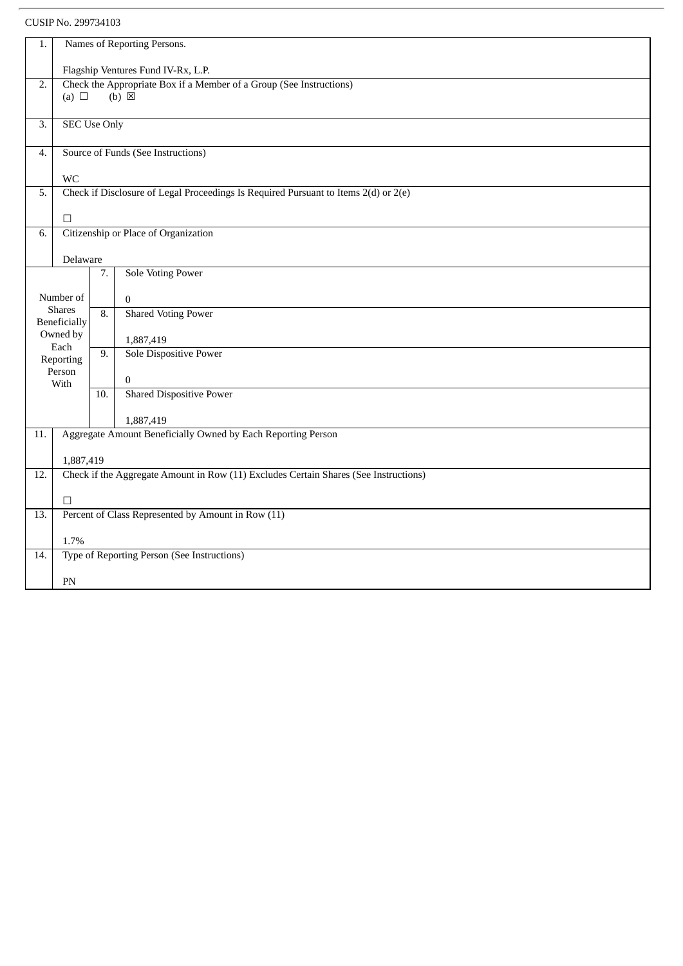| 1.               |                                    | Names of Reporting Persons. |                                                                                      |  |  |  |  |
|------------------|------------------------------------|-----------------------------|--------------------------------------------------------------------------------------|--|--|--|--|
|                  | Flagship Ventures Fund IV-Rx, L.P. |                             |                                                                                      |  |  |  |  |
| $\overline{2}$ . |                                    |                             | Check the Appropriate Box if a Member of a Group (See Instructions)                  |  |  |  |  |
|                  | $(b) \boxtimes$<br>(a) $\Box$      |                             |                                                                                      |  |  |  |  |
|                  |                                    |                             |                                                                                      |  |  |  |  |
| $\overline{3}$ . | <b>SEC Use Only</b>                |                             |                                                                                      |  |  |  |  |
| 4.               |                                    |                             | Source of Funds (See Instructions)                                                   |  |  |  |  |
|                  |                                    |                             |                                                                                      |  |  |  |  |
|                  | <b>WC</b>                          |                             |                                                                                      |  |  |  |  |
| 5.               |                                    |                             | Check if Disclosure of Legal Proceedings Is Required Pursuant to Items 2(d) or 2(e)  |  |  |  |  |
|                  |                                    |                             |                                                                                      |  |  |  |  |
|                  | П                                  |                             |                                                                                      |  |  |  |  |
| 6.               |                                    |                             | Citizenship or Place of Organization                                                 |  |  |  |  |
|                  |                                    |                             |                                                                                      |  |  |  |  |
|                  | Delaware                           |                             |                                                                                      |  |  |  |  |
|                  |                                    | 7.                          | <b>Sole Voting Power</b>                                                             |  |  |  |  |
|                  | Number of                          |                             |                                                                                      |  |  |  |  |
|                  | <b>Shares</b>                      |                             | $\mathbf{0}$                                                                         |  |  |  |  |
|                  | Beneficially                       | $\overline{8}$ .            | <b>Shared Voting Power</b>                                                           |  |  |  |  |
|                  | Owned by                           |                             | 1,887,419                                                                            |  |  |  |  |
|                  | Each                               | 9.                          | <b>Sole Dispositive Power</b>                                                        |  |  |  |  |
|                  | Reporting                          |                             |                                                                                      |  |  |  |  |
|                  | Person                             |                             | $\mathbf{0}$                                                                         |  |  |  |  |
|                  | With                               | $\overline{10}$ .           | <b>Shared Dispositive Power</b>                                                      |  |  |  |  |
|                  |                                    |                             |                                                                                      |  |  |  |  |
|                  |                                    |                             | 1,887,419                                                                            |  |  |  |  |
| 11.              |                                    |                             | Aggregate Amount Beneficially Owned by Each Reporting Person                         |  |  |  |  |
|                  |                                    |                             |                                                                                      |  |  |  |  |
|                  | 1,887,419                          |                             |                                                                                      |  |  |  |  |
| 12.              |                                    |                             | Check if the Aggregate Amount in Row (11) Excludes Certain Shares (See Instructions) |  |  |  |  |
|                  |                                    |                             |                                                                                      |  |  |  |  |
|                  | $\Box$                             |                             |                                                                                      |  |  |  |  |
| 13.              |                                    |                             | Percent of Class Represented by Amount in Row (11)                                   |  |  |  |  |
|                  |                                    |                             |                                                                                      |  |  |  |  |
|                  | 1.7%                               |                             |                                                                                      |  |  |  |  |
| 14.              |                                    |                             | Type of Reporting Person (See Instructions)                                          |  |  |  |  |
|                  |                                    |                             |                                                                                      |  |  |  |  |
|                  | PN                                 |                             |                                                                                      |  |  |  |  |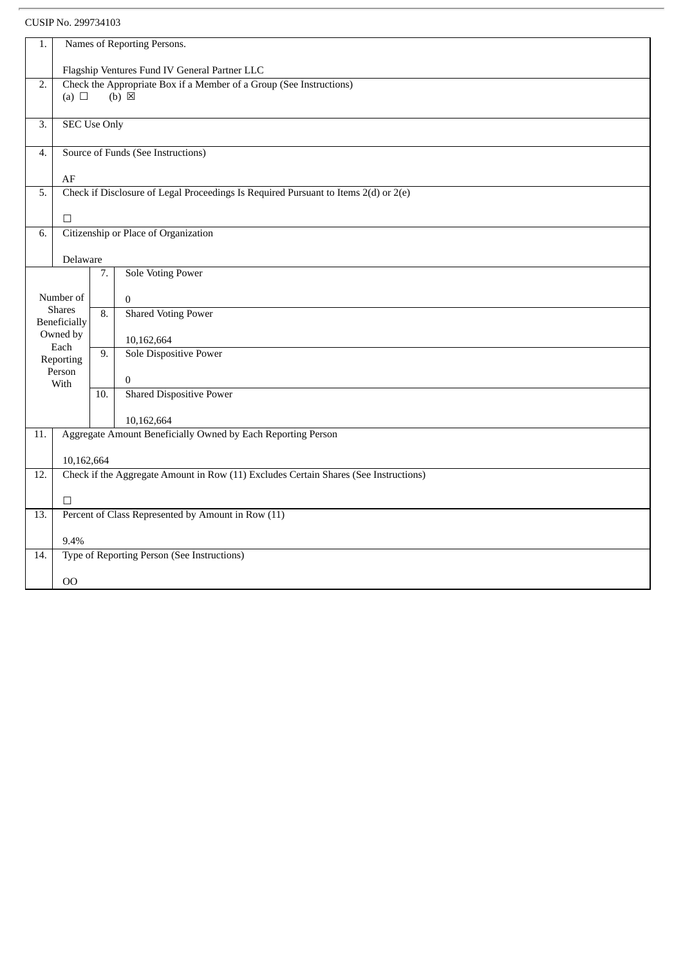CUSIP No. 299734103

| 1.               | Names of Reporting Persons.                                  |     |                                                                                      |  |  |  |  |
|------------------|--------------------------------------------------------------|-----|--------------------------------------------------------------------------------------|--|--|--|--|
|                  |                                                              |     |                                                                                      |  |  |  |  |
|                  | Flagship Ventures Fund IV General Partner LLC                |     |                                                                                      |  |  |  |  |
| $\overline{2}$ . |                                                              |     | Check the Appropriate Box if a Member of a Group (See Instructions)                  |  |  |  |  |
|                  | (a) $\Box$                                                   |     | $(b) \boxtimes$                                                                      |  |  |  |  |
|                  |                                                              |     |                                                                                      |  |  |  |  |
| $\overline{3}$ . | <b>SEC Use Only</b>                                          |     |                                                                                      |  |  |  |  |
|                  |                                                              |     |                                                                                      |  |  |  |  |
| 4.               |                                                              |     | Source of Funds (See Instructions)                                                   |  |  |  |  |
|                  |                                                              |     |                                                                                      |  |  |  |  |
| 5.               | AF                                                           |     | Check if Disclosure of Legal Proceedings Is Required Pursuant to Items 2(d) or 2(e)  |  |  |  |  |
|                  |                                                              |     |                                                                                      |  |  |  |  |
|                  | $\Box$                                                       |     |                                                                                      |  |  |  |  |
| 6.               |                                                              |     | Citizenship or Place of Organization                                                 |  |  |  |  |
|                  |                                                              |     |                                                                                      |  |  |  |  |
|                  | Delaware                                                     |     |                                                                                      |  |  |  |  |
|                  |                                                              | 7.  | <b>Sole Voting Power</b>                                                             |  |  |  |  |
|                  |                                                              |     |                                                                                      |  |  |  |  |
|                  | Number of                                                    |     | $\mathbf{0}$                                                                         |  |  |  |  |
|                  | <b>Shares</b>                                                | 8.  | <b>Shared Voting Power</b>                                                           |  |  |  |  |
|                  | <b>Beneficially</b>                                          |     |                                                                                      |  |  |  |  |
|                  | Owned by<br>Each                                             |     | 10,162,664                                                                           |  |  |  |  |
|                  | Reporting                                                    | 9.  | Sole Dispositive Power                                                               |  |  |  |  |
|                  | Person                                                       |     |                                                                                      |  |  |  |  |
|                  | With                                                         |     | $\mathbf{0}$                                                                         |  |  |  |  |
|                  |                                                              | 10. | <b>Shared Dispositive Power</b>                                                      |  |  |  |  |
|                  |                                                              |     |                                                                                      |  |  |  |  |
|                  |                                                              |     | 10,162,664                                                                           |  |  |  |  |
| 11.              | Aggregate Amount Beneficially Owned by Each Reporting Person |     |                                                                                      |  |  |  |  |
|                  | 10,162,664                                                   |     |                                                                                      |  |  |  |  |
| 12.              |                                                              |     | Check if the Aggregate Amount in Row (11) Excludes Certain Shares (See Instructions) |  |  |  |  |
|                  |                                                              |     |                                                                                      |  |  |  |  |
|                  | $\Box$                                                       |     |                                                                                      |  |  |  |  |
| 13.              |                                                              |     | Percent of Class Represented by Amount in Row (11)                                   |  |  |  |  |
|                  |                                                              |     |                                                                                      |  |  |  |  |
|                  | 9.4%                                                         |     |                                                                                      |  |  |  |  |
| 14.              |                                                              |     | Type of Reporting Person (See Instructions)                                          |  |  |  |  |
|                  |                                                              |     |                                                                                      |  |  |  |  |
|                  | 00                                                           |     |                                                                                      |  |  |  |  |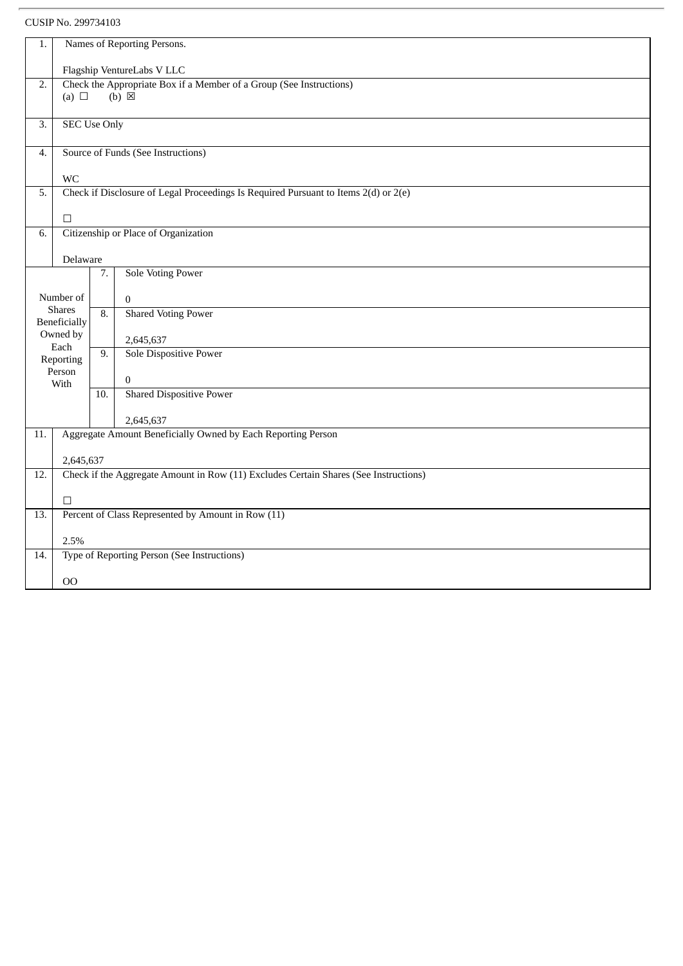CUSIP No. 299734103

| 1.  | Names of Reporting Persons.   |     |                                                                                        |  |  |  |  |
|-----|-------------------------------|-----|----------------------------------------------------------------------------------------|--|--|--|--|
|     | Flagship VentureLabs V LLC    |     |                                                                                        |  |  |  |  |
| 2.  | (a) $\Box$                    |     | Check the Appropriate Box if a Member of a Group (See Instructions)<br>$(b) \boxtimes$ |  |  |  |  |
|     |                               |     |                                                                                        |  |  |  |  |
| 3.  | <b>SEC Use Only</b>           |     |                                                                                        |  |  |  |  |
| 4.  |                               |     | Source of Funds (See Instructions)                                                     |  |  |  |  |
|     | WC                            |     |                                                                                        |  |  |  |  |
| 5.  |                               |     | Check if Disclosure of Legal Proceedings Is Required Pursuant to Items 2(d) or 2(e)    |  |  |  |  |
|     | $\Box$                        |     |                                                                                        |  |  |  |  |
| 6.  |                               |     | Citizenship or Place of Organization                                                   |  |  |  |  |
|     | Delaware                      |     |                                                                                        |  |  |  |  |
|     |                               | 7.  | <b>Sole Voting Power</b>                                                               |  |  |  |  |
|     | Number of                     |     | $\mathbf{0}$                                                                           |  |  |  |  |
|     | <b>Shares</b><br>Beneficially | 8.  | <b>Shared Voting Power</b>                                                             |  |  |  |  |
|     | Owned by<br>Each              |     | 2,645,637                                                                              |  |  |  |  |
|     | Reporting                     | 9.  | Sole Dispositive Power                                                                 |  |  |  |  |
|     | Person<br>With                |     | $\overline{0}$                                                                         |  |  |  |  |
|     |                               | 10. | <b>Shared Dispositive Power</b>                                                        |  |  |  |  |
|     |                               |     | 2,645,637                                                                              |  |  |  |  |
| 11. |                               |     | Aggregate Amount Beneficially Owned by Each Reporting Person                           |  |  |  |  |
|     | 2,645,637                     |     |                                                                                        |  |  |  |  |
| 12. |                               |     | Check if the Aggregate Amount in Row (11) Excludes Certain Shares (See Instructions)   |  |  |  |  |
|     | $\Box$                        |     |                                                                                        |  |  |  |  |
| 13. |                               |     | Percent of Class Represented by Amount in Row (11)                                     |  |  |  |  |
|     | 2.5%                          |     |                                                                                        |  |  |  |  |
| 14. |                               |     | Type of Reporting Person (See Instructions)                                            |  |  |  |  |
|     | $00\,$                        |     |                                                                                        |  |  |  |  |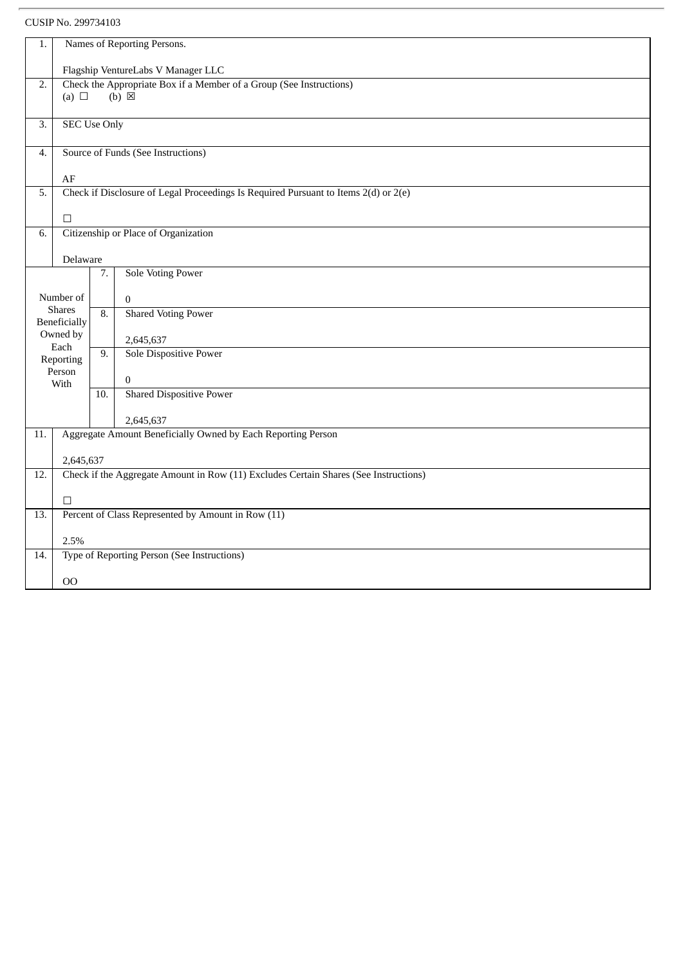| 1.               |                                                                                                           |                                    | Names of Reporting Persons.                                                          |  |  |  |  |
|------------------|-----------------------------------------------------------------------------------------------------------|------------------------------------|--------------------------------------------------------------------------------------|--|--|--|--|
|                  |                                                                                                           |                                    |                                                                                      |  |  |  |  |
| $\overline{2}$ . | Flagship VentureLabs V Manager LLC<br>Check the Appropriate Box if a Member of a Group (See Instructions) |                                    |                                                                                      |  |  |  |  |
|                  | (a) $\Box$                                                                                                |                                    | $(b) \boxtimes$                                                                      |  |  |  |  |
|                  |                                                                                                           |                                    |                                                                                      |  |  |  |  |
| 3.               | <b>SEC Use Only</b>                                                                                       |                                    |                                                                                      |  |  |  |  |
|                  |                                                                                                           |                                    |                                                                                      |  |  |  |  |
| 4.               |                                                                                                           | Source of Funds (See Instructions) |                                                                                      |  |  |  |  |
|                  |                                                                                                           |                                    |                                                                                      |  |  |  |  |
| 5.               | AF                                                                                                        |                                    | Check if Disclosure of Legal Proceedings Is Required Pursuant to Items 2(d) or 2(e)  |  |  |  |  |
|                  |                                                                                                           |                                    |                                                                                      |  |  |  |  |
|                  | $\Box$                                                                                                    |                                    |                                                                                      |  |  |  |  |
| 6.               |                                                                                                           |                                    | Citizenship or Place of Organization                                                 |  |  |  |  |
|                  |                                                                                                           |                                    |                                                                                      |  |  |  |  |
|                  | Delaware                                                                                                  |                                    |                                                                                      |  |  |  |  |
|                  |                                                                                                           | 7.                                 | <b>Sole Voting Power</b>                                                             |  |  |  |  |
|                  | Number of                                                                                                 |                                    |                                                                                      |  |  |  |  |
|                  | <b>Shares</b>                                                                                             |                                    | $\mathbf{0}$<br><b>Shared Voting Power</b>                                           |  |  |  |  |
|                  | <b>Beneficially</b>                                                                                       | $\overline{8}$ .                   |                                                                                      |  |  |  |  |
|                  | Owned by                                                                                                  |                                    | 2,645,637                                                                            |  |  |  |  |
|                  | Each<br>Reporting                                                                                         | 9.                                 | Sole Dispositive Power                                                               |  |  |  |  |
|                  | Person                                                                                                    |                                    |                                                                                      |  |  |  |  |
|                  | With                                                                                                      |                                    | $\mathbf{0}$                                                                         |  |  |  |  |
|                  |                                                                                                           | $\overline{10}$ .                  | <b>Shared Dispositive Power</b>                                                      |  |  |  |  |
|                  |                                                                                                           |                                    | 2,645,637                                                                            |  |  |  |  |
| 11.              |                                                                                                           |                                    | Aggregate Amount Beneficially Owned by Each Reporting Person                         |  |  |  |  |
|                  |                                                                                                           |                                    |                                                                                      |  |  |  |  |
|                  | 2,645,637                                                                                                 |                                    |                                                                                      |  |  |  |  |
| 12.              |                                                                                                           |                                    | Check if the Aggregate Amount in Row (11) Excludes Certain Shares (See Instructions) |  |  |  |  |
|                  |                                                                                                           |                                    |                                                                                      |  |  |  |  |
|                  | $\Box$                                                                                                    |                                    |                                                                                      |  |  |  |  |
| 13.              |                                                                                                           |                                    | Percent of Class Represented by Amount in Row (11)                                   |  |  |  |  |
|                  | 2.5%                                                                                                      |                                    |                                                                                      |  |  |  |  |
| 14.              |                                                                                                           |                                    | Type of Reporting Person (See Instructions)                                          |  |  |  |  |
|                  |                                                                                                           |                                    |                                                                                      |  |  |  |  |
|                  | $00\,$                                                                                                    |                                    |                                                                                      |  |  |  |  |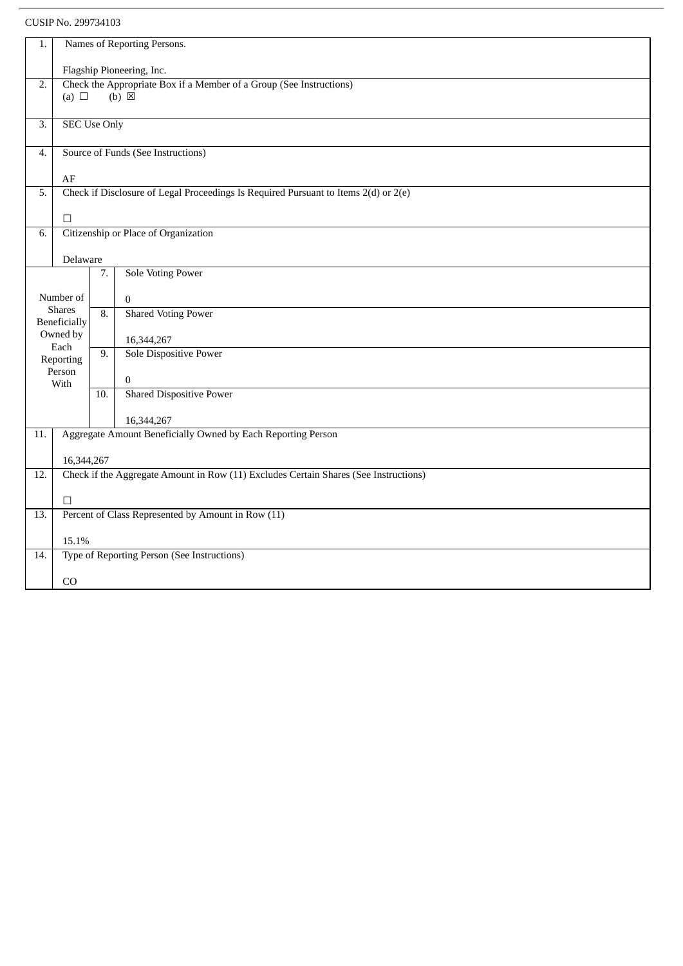CUSIP No. 299734103

| 1.  | Names of Reporting Persons.                                         |                  |                                                                                      |  |  |  |  |
|-----|---------------------------------------------------------------------|------------------|--------------------------------------------------------------------------------------|--|--|--|--|
|     | Flagship Pioneering, Inc.                                           |                  |                                                                                      |  |  |  |  |
| 2.  | Check the Appropriate Box if a Member of a Group (See Instructions) |                  |                                                                                      |  |  |  |  |
|     | (a) $\Box$                                                          |                  | $(b) \boxtimes$                                                                      |  |  |  |  |
| 3.  | <b>SEC Use Only</b>                                                 |                  |                                                                                      |  |  |  |  |
| 4.  |                                                                     |                  | Source of Funds (See Instructions)                                                   |  |  |  |  |
|     | $\rm AF$                                                            |                  |                                                                                      |  |  |  |  |
| 5.  |                                                                     |                  | Check if Disclosure of Legal Proceedings Is Required Pursuant to Items 2(d) or 2(e)  |  |  |  |  |
|     | $\Box$                                                              |                  |                                                                                      |  |  |  |  |
| 6.  |                                                                     |                  | Citizenship or Place of Organization                                                 |  |  |  |  |
|     |                                                                     |                  |                                                                                      |  |  |  |  |
|     | Delaware                                                            |                  |                                                                                      |  |  |  |  |
|     |                                                                     | 7.               | <b>Sole Voting Power</b>                                                             |  |  |  |  |
|     | Number of                                                           |                  | $\mathbf{0}$                                                                         |  |  |  |  |
|     | <b>Shares</b><br><b>Beneficially</b>                                | $\overline{8}$ . | <b>Shared Voting Power</b>                                                           |  |  |  |  |
|     | Owned by                                                            |                  | 16,344,267                                                                           |  |  |  |  |
|     | Each<br>Reporting                                                   | 9.               | <b>Sole Dispositive Power</b>                                                        |  |  |  |  |
|     | Person<br>With                                                      |                  | $\boldsymbol{0}$                                                                     |  |  |  |  |
|     |                                                                     | 10.              | <b>Shared Dispositive Power</b>                                                      |  |  |  |  |
|     |                                                                     |                  | 16,344,267                                                                           |  |  |  |  |
| 11. |                                                                     |                  | Aggregate Amount Beneficially Owned by Each Reporting Person                         |  |  |  |  |
|     | 16,344,267                                                          |                  |                                                                                      |  |  |  |  |
| 12. |                                                                     |                  | Check if the Aggregate Amount in Row (11) Excludes Certain Shares (See Instructions) |  |  |  |  |
|     |                                                                     |                  |                                                                                      |  |  |  |  |
|     | $\Box$                                                              |                  |                                                                                      |  |  |  |  |
| 13. |                                                                     |                  | Percent of Class Represented by Amount in Row (11)                                   |  |  |  |  |
|     | 15.1%                                                               |                  |                                                                                      |  |  |  |  |
| 14. |                                                                     |                  | Type of Reporting Person (See Instructions)                                          |  |  |  |  |
|     | CO                                                                  |                  |                                                                                      |  |  |  |  |
|     |                                                                     |                  |                                                                                      |  |  |  |  |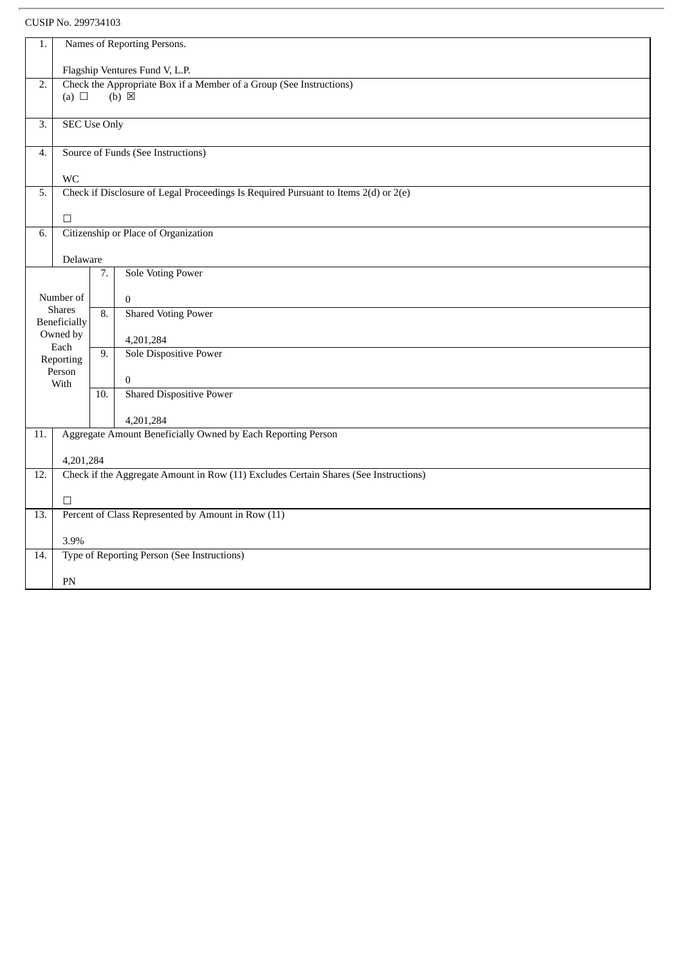| 1.               |                                                                     |     | Names of Reporting Persons.                                                          |  |  |  |  |
|------------------|---------------------------------------------------------------------|-----|--------------------------------------------------------------------------------------|--|--|--|--|
|                  | Flagship Ventures Fund V, L.P.                                      |     |                                                                                      |  |  |  |  |
| $\overline{2}$ . | Check the Appropriate Box if a Member of a Group (See Instructions) |     |                                                                                      |  |  |  |  |
|                  | (a) $\Box$                                                          |     | $(b) \boxtimes$                                                                      |  |  |  |  |
|                  |                                                                     |     |                                                                                      |  |  |  |  |
| $\overline{3}$ . | <b>SEC Use Only</b>                                                 |     |                                                                                      |  |  |  |  |
| 4.               |                                                                     |     | Source of Funds (See Instructions)                                                   |  |  |  |  |
|                  |                                                                     |     |                                                                                      |  |  |  |  |
|                  | <b>WC</b>                                                           |     |                                                                                      |  |  |  |  |
| 5.               |                                                                     |     | Check if Disclosure of Legal Proceedings Is Required Pursuant to Items 2(d) or 2(e)  |  |  |  |  |
|                  |                                                                     |     |                                                                                      |  |  |  |  |
|                  | $\Box$                                                              |     |                                                                                      |  |  |  |  |
| 6.               |                                                                     |     | Citizenship or Place of Organization                                                 |  |  |  |  |
|                  |                                                                     |     |                                                                                      |  |  |  |  |
|                  | Delaware                                                            |     |                                                                                      |  |  |  |  |
|                  |                                                                     | 7.  | <b>Sole Voting Power</b>                                                             |  |  |  |  |
|                  |                                                                     |     |                                                                                      |  |  |  |  |
|                  | Number of                                                           |     | $\mathbf{0}$                                                                         |  |  |  |  |
|                  | <b>Shares</b>                                                       | 8.  | <b>Shared Voting Power</b>                                                           |  |  |  |  |
|                  | Beneficially<br>Owned by                                            |     |                                                                                      |  |  |  |  |
|                  | Each                                                                |     | 4,201,284                                                                            |  |  |  |  |
|                  | Reporting                                                           | 9.  | <b>Sole Dispositive Power</b>                                                        |  |  |  |  |
|                  | Person                                                              |     |                                                                                      |  |  |  |  |
|                  | With                                                                |     | $\boldsymbol{0}$                                                                     |  |  |  |  |
|                  |                                                                     | 10. | <b>Shared Dispositive Power</b>                                                      |  |  |  |  |
|                  |                                                                     |     |                                                                                      |  |  |  |  |
|                  |                                                                     |     | 4,201,284                                                                            |  |  |  |  |
| 11.              |                                                                     |     | Aggregate Amount Beneficially Owned by Each Reporting Person                         |  |  |  |  |
|                  |                                                                     |     |                                                                                      |  |  |  |  |
|                  | 4,201,284                                                           |     |                                                                                      |  |  |  |  |
| 12.              |                                                                     |     | Check if the Aggregate Amount in Row (11) Excludes Certain Shares (See Instructions) |  |  |  |  |
|                  | $\Box$                                                              |     |                                                                                      |  |  |  |  |
|                  |                                                                     |     | Percent of Class Represented by Amount in Row (11)                                   |  |  |  |  |
| 13.              |                                                                     |     |                                                                                      |  |  |  |  |
|                  | 3.9%                                                                |     |                                                                                      |  |  |  |  |
| 14.              |                                                                     |     | Type of Reporting Person (See Instructions)                                          |  |  |  |  |
|                  |                                                                     |     |                                                                                      |  |  |  |  |
|                  |                                                                     | PN  |                                                                                      |  |  |  |  |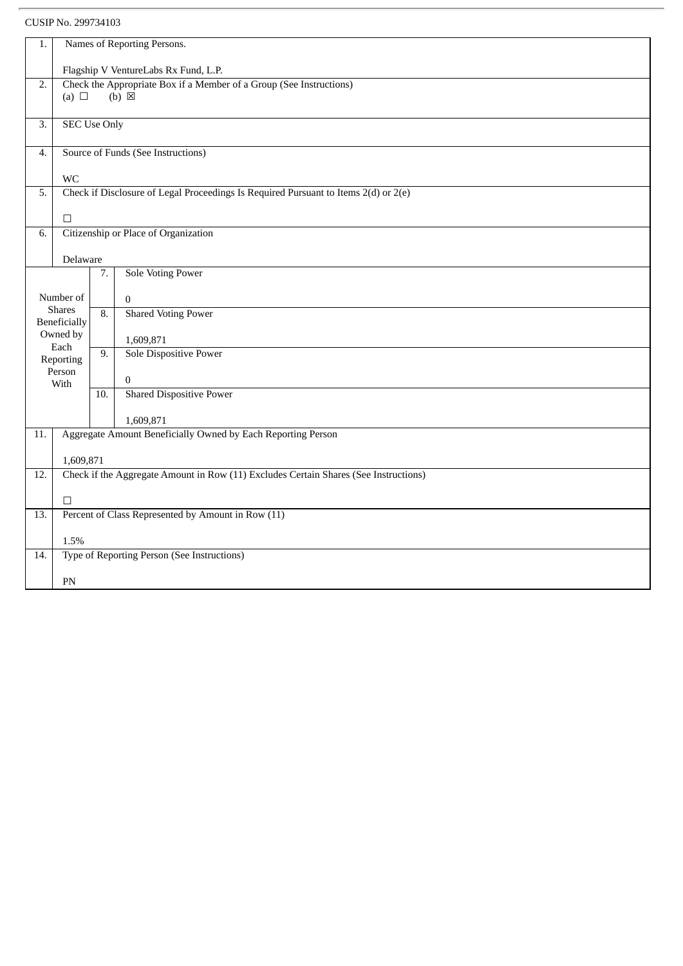| Names of Reporting Persons.<br>1.<br>Flagship V VentureLabs Rx Fund, L.P.<br>Check the Appropriate Box if a Member of a Group (See Instructions)<br>2.<br>$(b) \boxtimes$<br>(a) $\Box$<br><b>SEC Use Only</b><br>3.<br>Source of Funds (See Instructions)<br>4.<br>WC<br>Check if Disclosure of Legal Proceedings Is Required Pursuant to Items 2(d) or 2(e)<br>5.<br>$\Box$<br>Citizenship or Place of Organization<br>6.<br>Delaware<br><b>Sole Voting Power</b><br>7.<br>Number of<br>$\Omega$<br><b>Shares</b><br><b>Shared Voting Power</b><br>$\overline{8}$ .<br><b>Beneficially</b><br>Owned by<br>1,609,871<br>Each<br>Sole Dispositive Power<br>9.<br>Reporting<br>Person<br>$\overline{0}$<br>With<br><b>Shared Dispositive Power</b><br>10.<br>1,609,871<br>Aggregate Amount Beneficially Owned by Each Reporting Person<br>11.<br>1,609,871<br>Check if the Aggregate Amount in Row (11) Excludes Certain Shares (See Instructions)<br>12.<br>$\Box$<br>Percent of Class Represented by Amount in Row (11)<br>13.<br>1.5%<br>Type of Reporting Person (See Instructions)<br>14.<br>PN |  |  |  |  |  |  |  |  |  |  |
|-----------------------------------------------------------------------------------------------------------------------------------------------------------------------------------------------------------------------------------------------------------------------------------------------------------------------------------------------------------------------------------------------------------------------------------------------------------------------------------------------------------------------------------------------------------------------------------------------------------------------------------------------------------------------------------------------------------------------------------------------------------------------------------------------------------------------------------------------------------------------------------------------------------------------------------------------------------------------------------------------------------------------------------------------------------------------------------------------------|--|--|--|--|--|--|--|--|--|--|
|                                                                                                                                                                                                                                                                                                                                                                                                                                                                                                                                                                                                                                                                                                                                                                                                                                                                                                                                                                                                                                                                                                     |  |  |  |  |  |  |  |  |  |  |
|                                                                                                                                                                                                                                                                                                                                                                                                                                                                                                                                                                                                                                                                                                                                                                                                                                                                                                                                                                                                                                                                                                     |  |  |  |  |  |  |  |  |  |  |
|                                                                                                                                                                                                                                                                                                                                                                                                                                                                                                                                                                                                                                                                                                                                                                                                                                                                                                                                                                                                                                                                                                     |  |  |  |  |  |  |  |  |  |  |
|                                                                                                                                                                                                                                                                                                                                                                                                                                                                                                                                                                                                                                                                                                                                                                                                                                                                                                                                                                                                                                                                                                     |  |  |  |  |  |  |  |  |  |  |
|                                                                                                                                                                                                                                                                                                                                                                                                                                                                                                                                                                                                                                                                                                                                                                                                                                                                                                                                                                                                                                                                                                     |  |  |  |  |  |  |  |  |  |  |
|                                                                                                                                                                                                                                                                                                                                                                                                                                                                                                                                                                                                                                                                                                                                                                                                                                                                                                                                                                                                                                                                                                     |  |  |  |  |  |  |  |  |  |  |
|                                                                                                                                                                                                                                                                                                                                                                                                                                                                                                                                                                                                                                                                                                                                                                                                                                                                                                                                                                                                                                                                                                     |  |  |  |  |  |  |  |  |  |  |
|                                                                                                                                                                                                                                                                                                                                                                                                                                                                                                                                                                                                                                                                                                                                                                                                                                                                                                                                                                                                                                                                                                     |  |  |  |  |  |  |  |  |  |  |
|                                                                                                                                                                                                                                                                                                                                                                                                                                                                                                                                                                                                                                                                                                                                                                                                                                                                                                                                                                                                                                                                                                     |  |  |  |  |  |  |  |  |  |  |
|                                                                                                                                                                                                                                                                                                                                                                                                                                                                                                                                                                                                                                                                                                                                                                                                                                                                                                                                                                                                                                                                                                     |  |  |  |  |  |  |  |  |  |  |
|                                                                                                                                                                                                                                                                                                                                                                                                                                                                                                                                                                                                                                                                                                                                                                                                                                                                                                                                                                                                                                                                                                     |  |  |  |  |  |  |  |  |  |  |
|                                                                                                                                                                                                                                                                                                                                                                                                                                                                                                                                                                                                                                                                                                                                                                                                                                                                                                                                                                                                                                                                                                     |  |  |  |  |  |  |  |  |  |  |
|                                                                                                                                                                                                                                                                                                                                                                                                                                                                                                                                                                                                                                                                                                                                                                                                                                                                                                                                                                                                                                                                                                     |  |  |  |  |  |  |  |  |  |  |
|                                                                                                                                                                                                                                                                                                                                                                                                                                                                                                                                                                                                                                                                                                                                                                                                                                                                                                                                                                                                                                                                                                     |  |  |  |  |  |  |  |  |  |  |
|                                                                                                                                                                                                                                                                                                                                                                                                                                                                                                                                                                                                                                                                                                                                                                                                                                                                                                                                                                                                                                                                                                     |  |  |  |  |  |  |  |  |  |  |
|                                                                                                                                                                                                                                                                                                                                                                                                                                                                                                                                                                                                                                                                                                                                                                                                                                                                                                                                                                                                                                                                                                     |  |  |  |  |  |  |  |  |  |  |
|                                                                                                                                                                                                                                                                                                                                                                                                                                                                                                                                                                                                                                                                                                                                                                                                                                                                                                                                                                                                                                                                                                     |  |  |  |  |  |  |  |  |  |  |
|                                                                                                                                                                                                                                                                                                                                                                                                                                                                                                                                                                                                                                                                                                                                                                                                                                                                                                                                                                                                                                                                                                     |  |  |  |  |  |  |  |  |  |  |
|                                                                                                                                                                                                                                                                                                                                                                                                                                                                                                                                                                                                                                                                                                                                                                                                                                                                                                                                                                                                                                                                                                     |  |  |  |  |  |  |  |  |  |  |
|                                                                                                                                                                                                                                                                                                                                                                                                                                                                                                                                                                                                                                                                                                                                                                                                                                                                                                                                                                                                                                                                                                     |  |  |  |  |  |  |  |  |  |  |
|                                                                                                                                                                                                                                                                                                                                                                                                                                                                                                                                                                                                                                                                                                                                                                                                                                                                                                                                                                                                                                                                                                     |  |  |  |  |  |  |  |  |  |  |
|                                                                                                                                                                                                                                                                                                                                                                                                                                                                                                                                                                                                                                                                                                                                                                                                                                                                                                                                                                                                                                                                                                     |  |  |  |  |  |  |  |  |  |  |
|                                                                                                                                                                                                                                                                                                                                                                                                                                                                                                                                                                                                                                                                                                                                                                                                                                                                                                                                                                                                                                                                                                     |  |  |  |  |  |  |  |  |  |  |
|                                                                                                                                                                                                                                                                                                                                                                                                                                                                                                                                                                                                                                                                                                                                                                                                                                                                                                                                                                                                                                                                                                     |  |  |  |  |  |  |  |  |  |  |
|                                                                                                                                                                                                                                                                                                                                                                                                                                                                                                                                                                                                                                                                                                                                                                                                                                                                                                                                                                                                                                                                                                     |  |  |  |  |  |  |  |  |  |  |
|                                                                                                                                                                                                                                                                                                                                                                                                                                                                                                                                                                                                                                                                                                                                                                                                                                                                                                                                                                                                                                                                                                     |  |  |  |  |  |  |  |  |  |  |
|                                                                                                                                                                                                                                                                                                                                                                                                                                                                                                                                                                                                                                                                                                                                                                                                                                                                                                                                                                                                                                                                                                     |  |  |  |  |  |  |  |  |  |  |
|                                                                                                                                                                                                                                                                                                                                                                                                                                                                                                                                                                                                                                                                                                                                                                                                                                                                                                                                                                                                                                                                                                     |  |  |  |  |  |  |  |  |  |  |
|                                                                                                                                                                                                                                                                                                                                                                                                                                                                                                                                                                                                                                                                                                                                                                                                                                                                                                                                                                                                                                                                                                     |  |  |  |  |  |  |  |  |  |  |
|                                                                                                                                                                                                                                                                                                                                                                                                                                                                                                                                                                                                                                                                                                                                                                                                                                                                                                                                                                                                                                                                                                     |  |  |  |  |  |  |  |  |  |  |
|                                                                                                                                                                                                                                                                                                                                                                                                                                                                                                                                                                                                                                                                                                                                                                                                                                                                                                                                                                                                                                                                                                     |  |  |  |  |  |  |  |  |  |  |
|                                                                                                                                                                                                                                                                                                                                                                                                                                                                                                                                                                                                                                                                                                                                                                                                                                                                                                                                                                                                                                                                                                     |  |  |  |  |  |  |  |  |  |  |
|                                                                                                                                                                                                                                                                                                                                                                                                                                                                                                                                                                                                                                                                                                                                                                                                                                                                                                                                                                                                                                                                                                     |  |  |  |  |  |  |  |  |  |  |
|                                                                                                                                                                                                                                                                                                                                                                                                                                                                                                                                                                                                                                                                                                                                                                                                                                                                                                                                                                                                                                                                                                     |  |  |  |  |  |  |  |  |  |  |
|                                                                                                                                                                                                                                                                                                                                                                                                                                                                                                                                                                                                                                                                                                                                                                                                                                                                                                                                                                                                                                                                                                     |  |  |  |  |  |  |  |  |  |  |
|                                                                                                                                                                                                                                                                                                                                                                                                                                                                                                                                                                                                                                                                                                                                                                                                                                                                                                                                                                                                                                                                                                     |  |  |  |  |  |  |  |  |  |  |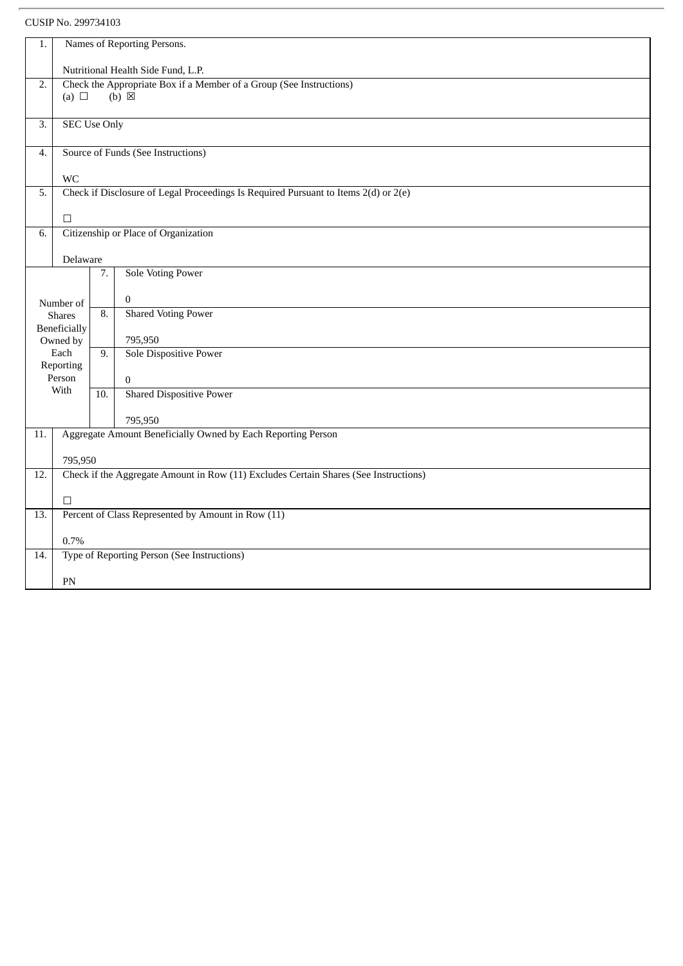| 1.               | Names of Reporting Persons.                                                                               |                   |                                                                                      |  |  |  |  |
|------------------|-----------------------------------------------------------------------------------------------------------|-------------------|--------------------------------------------------------------------------------------|--|--|--|--|
|                  |                                                                                                           |                   |                                                                                      |  |  |  |  |
| $\overline{2}$ . | Nutritional Health Side Fund, L.P.<br>Check the Appropriate Box if a Member of a Group (See Instructions) |                   |                                                                                      |  |  |  |  |
|                  | (a) $\Box$                                                                                                |                   | $(b)$ $\boxtimes$                                                                    |  |  |  |  |
|                  |                                                                                                           |                   |                                                                                      |  |  |  |  |
| 3.               | <b>SEC Use Only</b>                                                                                       |                   |                                                                                      |  |  |  |  |
| 4.               |                                                                                                           |                   | Source of Funds (See Instructions)                                                   |  |  |  |  |
|                  |                                                                                                           |                   |                                                                                      |  |  |  |  |
|                  | <b>WC</b>                                                                                                 |                   |                                                                                      |  |  |  |  |
| 5.               |                                                                                                           |                   | Check if Disclosure of Legal Proceedings Is Required Pursuant to Items 2(d) or 2(e)  |  |  |  |  |
|                  | $\Box$                                                                                                    |                   |                                                                                      |  |  |  |  |
| 6.               |                                                                                                           |                   | Citizenship or Place of Organization                                                 |  |  |  |  |
|                  |                                                                                                           |                   |                                                                                      |  |  |  |  |
|                  | Delaware                                                                                                  |                   |                                                                                      |  |  |  |  |
|                  |                                                                                                           | 7.                | <b>Sole Voting Power</b>                                                             |  |  |  |  |
|                  |                                                                                                           |                   | $\mathbf{0}$                                                                         |  |  |  |  |
|                  | Number of<br><b>Shares</b>                                                                                | $\overline{8}$ .  | <b>Shared Voting Power</b>                                                           |  |  |  |  |
|                  | Beneficially                                                                                              |                   |                                                                                      |  |  |  |  |
|                  | Owned by                                                                                                  |                   | 795,950                                                                              |  |  |  |  |
|                  | Each                                                                                                      | 9.                | <b>Sole Dispositive Power</b>                                                        |  |  |  |  |
|                  | Reporting<br>Person                                                                                       |                   | $\overline{0}$                                                                       |  |  |  |  |
|                  | With                                                                                                      |                   | <b>Shared Dispositive Power</b>                                                      |  |  |  |  |
|                  |                                                                                                           | $\overline{10}$ . |                                                                                      |  |  |  |  |
|                  |                                                                                                           |                   | 795,950                                                                              |  |  |  |  |
| 11.              |                                                                                                           |                   | Aggregate Amount Beneficially Owned by Each Reporting Person                         |  |  |  |  |
|                  | 795,950                                                                                                   |                   |                                                                                      |  |  |  |  |
| 12.              |                                                                                                           |                   | Check if the Aggregate Amount in Row (11) Excludes Certain Shares (See Instructions) |  |  |  |  |
|                  |                                                                                                           |                   |                                                                                      |  |  |  |  |
|                  | $\Box$                                                                                                    |                   |                                                                                      |  |  |  |  |
| 13.              |                                                                                                           |                   | Percent of Class Represented by Amount in Row (11)                                   |  |  |  |  |
|                  | 0.7%                                                                                                      |                   |                                                                                      |  |  |  |  |
| 14.              |                                                                                                           |                   | Type of Reporting Person (See Instructions)                                          |  |  |  |  |
|                  |                                                                                                           |                   |                                                                                      |  |  |  |  |
|                  | PN                                                                                                        |                   |                                                                                      |  |  |  |  |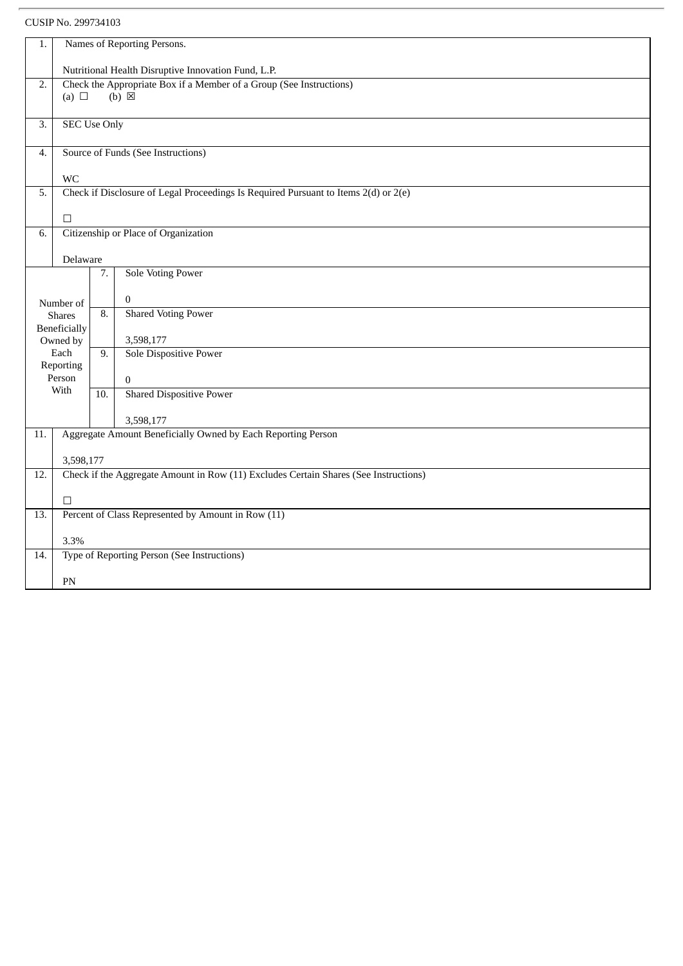CUSIP No. 299734103

| Names of Reporting Persons.<br>1.<br>Nutritional Health Disruptive Innovation Fund, L.P.<br>$\overline{2}$ .<br>Check the Appropriate Box if a Member of a Group (See Instructions)<br>$(b) \boxtimes$<br>(a) $\Box$<br><b>SEC Use Only</b><br>3.<br>Source of Funds (See Instructions)<br>4.<br><b>WC</b><br>Check if Disclosure of Legal Proceedings Is Required Pursuant to Items 2(d) or 2(e)<br>5.<br>$\Box$<br>Citizenship or Place of Organization<br>6.<br>Delaware<br><b>Sole Voting Power</b><br>7.<br>$\bf{0}$<br>Number of<br><b>Shared Voting Power</b><br>$\overline{8}$ .<br><b>Shares</b> |  |              |  |  |  |  |  |  |
|-----------------------------------------------------------------------------------------------------------------------------------------------------------------------------------------------------------------------------------------------------------------------------------------------------------------------------------------------------------------------------------------------------------------------------------------------------------------------------------------------------------------------------------------------------------------------------------------------------------|--|--------------|--|--|--|--|--|--|
|                                                                                                                                                                                                                                                                                                                                                                                                                                                                                                                                                                                                           |  |              |  |  |  |  |  |  |
|                                                                                                                                                                                                                                                                                                                                                                                                                                                                                                                                                                                                           |  |              |  |  |  |  |  |  |
|                                                                                                                                                                                                                                                                                                                                                                                                                                                                                                                                                                                                           |  |              |  |  |  |  |  |  |
|                                                                                                                                                                                                                                                                                                                                                                                                                                                                                                                                                                                                           |  |              |  |  |  |  |  |  |
|                                                                                                                                                                                                                                                                                                                                                                                                                                                                                                                                                                                                           |  |              |  |  |  |  |  |  |
|                                                                                                                                                                                                                                                                                                                                                                                                                                                                                                                                                                                                           |  |              |  |  |  |  |  |  |
|                                                                                                                                                                                                                                                                                                                                                                                                                                                                                                                                                                                                           |  |              |  |  |  |  |  |  |
|                                                                                                                                                                                                                                                                                                                                                                                                                                                                                                                                                                                                           |  |              |  |  |  |  |  |  |
|                                                                                                                                                                                                                                                                                                                                                                                                                                                                                                                                                                                                           |  |              |  |  |  |  |  |  |
|                                                                                                                                                                                                                                                                                                                                                                                                                                                                                                                                                                                                           |  |              |  |  |  |  |  |  |
|                                                                                                                                                                                                                                                                                                                                                                                                                                                                                                                                                                                                           |  |              |  |  |  |  |  |  |
|                                                                                                                                                                                                                                                                                                                                                                                                                                                                                                                                                                                                           |  |              |  |  |  |  |  |  |
|                                                                                                                                                                                                                                                                                                                                                                                                                                                                                                                                                                                                           |  |              |  |  |  |  |  |  |
|                                                                                                                                                                                                                                                                                                                                                                                                                                                                                                                                                                                                           |  |              |  |  |  |  |  |  |
|                                                                                                                                                                                                                                                                                                                                                                                                                                                                                                                                                                                                           |  |              |  |  |  |  |  |  |
|                                                                                                                                                                                                                                                                                                                                                                                                                                                                                                                                                                                                           |  | Beneficially |  |  |  |  |  |  |
| 3,598,177<br>Owned by                                                                                                                                                                                                                                                                                                                                                                                                                                                                                                                                                                                     |  |              |  |  |  |  |  |  |
| Sole Dispositive Power<br>Each<br>9.                                                                                                                                                                                                                                                                                                                                                                                                                                                                                                                                                                      |  | Reporting    |  |  |  |  |  |  |
| Person<br>$\boldsymbol{0}$                                                                                                                                                                                                                                                                                                                                                                                                                                                                                                                                                                                |  |              |  |  |  |  |  |  |
| With<br><b>Shared Dispositive Power</b><br>10.                                                                                                                                                                                                                                                                                                                                                                                                                                                                                                                                                            |  |              |  |  |  |  |  |  |
|                                                                                                                                                                                                                                                                                                                                                                                                                                                                                                                                                                                                           |  |              |  |  |  |  |  |  |
| 3,598,177                                                                                                                                                                                                                                                                                                                                                                                                                                                                                                                                                                                                 |  |              |  |  |  |  |  |  |
| Aggregate Amount Beneficially Owned by Each Reporting Person<br>11.                                                                                                                                                                                                                                                                                                                                                                                                                                                                                                                                       |  |              |  |  |  |  |  |  |
| 3,598,177                                                                                                                                                                                                                                                                                                                                                                                                                                                                                                                                                                                                 |  |              |  |  |  |  |  |  |
| Check if the Aggregate Amount in Row (11) Excludes Certain Shares (See Instructions)<br>12.                                                                                                                                                                                                                                                                                                                                                                                                                                                                                                               |  |              |  |  |  |  |  |  |
| $\Box$                                                                                                                                                                                                                                                                                                                                                                                                                                                                                                                                                                                                    |  |              |  |  |  |  |  |  |
| Percent of Class Represented by Amount in Row (11)<br>$\overline{13}$ .                                                                                                                                                                                                                                                                                                                                                                                                                                                                                                                                   |  |              |  |  |  |  |  |  |
|                                                                                                                                                                                                                                                                                                                                                                                                                                                                                                                                                                                                           |  |              |  |  |  |  |  |  |
| 3.3%                                                                                                                                                                                                                                                                                                                                                                                                                                                                                                                                                                                                      |  |              |  |  |  |  |  |  |
| Type of Reporting Person (See Instructions)<br>14.                                                                                                                                                                                                                                                                                                                                                                                                                                                                                                                                                        |  |              |  |  |  |  |  |  |
| PN                                                                                                                                                                                                                                                                                                                                                                                                                                                                                                                                                                                                        |  |              |  |  |  |  |  |  |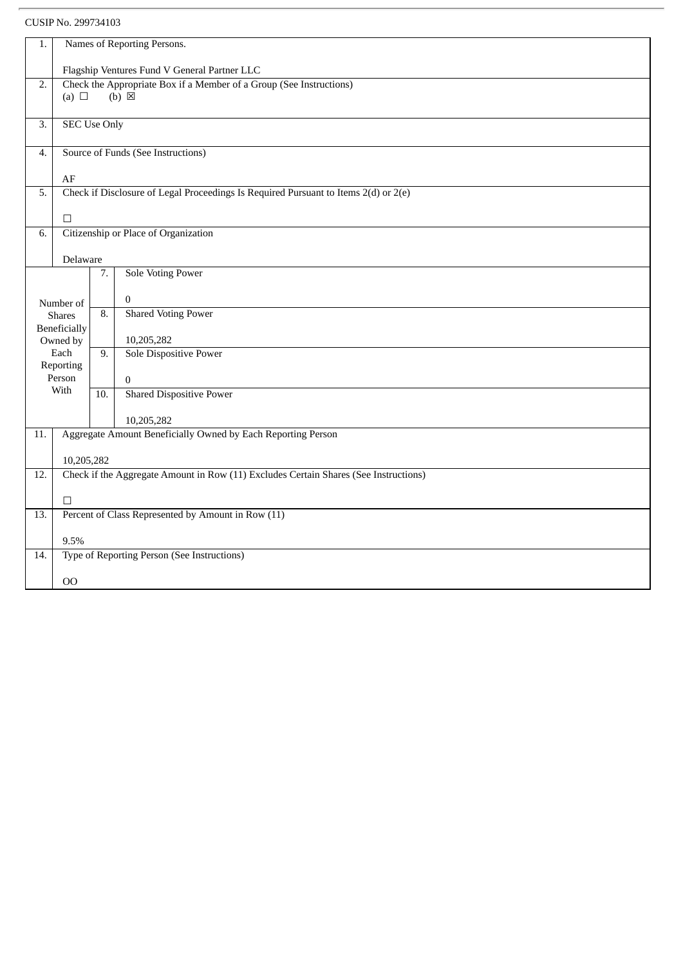| 1.                | Names of Reporting Persons.                                         |                                              |                                                                                      |  |  |  |  |  |
|-------------------|---------------------------------------------------------------------|----------------------------------------------|--------------------------------------------------------------------------------------|--|--|--|--|--|
|                   |                                                                     | Flagship Ventures Fund V General Partner LLC |                                                                                      |  |  |  |  |  |
| 2.                | Check the Appropriate Box if a Member of a Group (See Instructions) |                                              |                                                                                      |  |  |  |  |  |
|                   | (a) $\Box$                                                          |                                              | $(b) \boxtimes$                                                                      |  |  |  |  |  |
| 3.                | <b>SEC Use Only</b>                                                 |                                              |                                                                                      |  |  |  |  |  |
|                   |                                                                     |                                              |                                                                                      |  |  |  |  |  |
| 4.                |                                                                     |                                              | Source of Funds (See Instructions)                                                   |  |  |  |  |  |
|                   | AF                                                                  |                                              |                                                                                      |  |  |  |  |  |
| 5.                |                                                                     |                                              | Check if Disclosure of Legal Proceedings Is Required Pursuant to Items 2(d) or 2(e)  |  |  |  |  |  |
|                   | $\Box$                                                              |                                              |                                                                                      |  |  |  |  |  |
| 6.                |                                                                     |                                              | Citizenship or Place of Organization                                                 |  |  |  |  |  |
|                   |                                                                     |                                              |                                                                                      |  |  |  |  |  |
|                   | Delaware                                                            |                                              |                                                                                      |  |  |  |  |  |
|                   |                                                                     | 7.                                           | <b>Sole Voting Power</b>                                                             |  |  |  |  |  |
|                   | Number of                                                           |                                              | $\mathbf{0}$                                                                         |  |  |  |  |  |
|                   | <b>Shares</b>                                                       | 8.                                           | <b>Shared Voting Power</b>                                                           |  |  |  |  |  |
|                   | Beneficially<br>Owned by                                            |                                              | 10,205,282                                                                           |  |  |  |  |  |
|                   | Each                                                                | $\overline{9}$ .                             | Sole Dispositive Power                                                               |  |  |  |  |  |
|                   | Reporting                                                           |                                              |                                                                                      |  |  |  |  |  |
|                   | Person<br>With                                                      |                                              | $\mathbf{0}$                                                                         |  |  |  |  |  |
|                   |                                                                     | 10.                                          | <b>Shared Dispositive Power</b>                                                      |  |  |  |  |  |
|                   |                                                                     |                                              | 10,205,282                                                                           |  |  |  |  |  |
| 11.               |                                                                     |                                              | Aggregate Amount Beneficially Owned by Each Reporting Person                         |  |  |  |  |  |
|                   | 10,205,282                                                          |                                              |                                                                                      |  |  |  |  |  |
| 12.               |                                                                     |                                              | Check if the Aggregate Amount in Row (11) Excludes Certain Shares (See Instructions) |  |  |  |  |  |
|                   |                                                                     |                                              |                                                                                      |  |  |  |  |  |
| $\overline{13}$ . | $\Box$                                                              |                                              | Percent of Class Represented by Amount in Row (11)                                   |  |  |  |  |  |
|                   |                                                                     |                                              |                                                                                      |  |  |  |  |  |
|                   | 9.5%                                                                |                                              |                                                                                      |  |  |  |  |  |
| 14.               |                                                                     |                                              | Type of Reporting Person (See Instructions)                                          |  |  |  |  |  |
|                   | 00                                                                  |                                              |                                                                                      |  |  |  |  |  |
|                   |                                                                     |                                              |                                                                                      |  |  |  |  |  |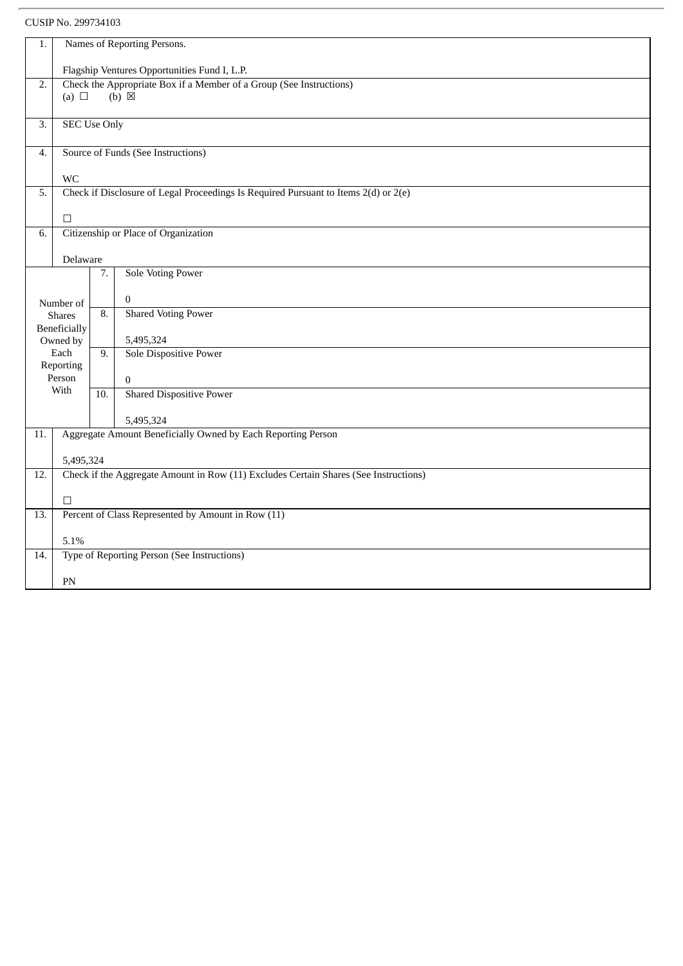| 1.                                                                                                         | Names of Reporting Persons.                        |                   |                                                                                      |  |  |
|------------------------------------------------------------------------------------------------------------|----------------------------------------------------|-------------------|--------------------------------------------------------------------------------------|--|--|
|                                                                                                            |                                                    |                   |                                                                                      |  |  |
|                                                                                                            | Flagship Ventures Opportunities Fund I, L.P.       |                   |                                                                                      |  |  |
| Check the Appropriate Box if a Member of a Group (See Instructions)<br>$\overline{2}$ .<br>$(b) \boxtimes$ |                                                    |                   |                                                                                      |  |  |
|                                                                                                            | (a) $\Box$                                         |                   |                                                                                      |  |  |
|                                                                                                            |                                                    |                   |                                                                                      |  |  |
| 3.                                                                                                         | <b>SEC Use Only</b>                                |                   |                                                                                      |  |  |
|                                                                                                            |                                                    |                   |                                                                                      |  |  |
| 4.                                                                                                         | Source of Funds (See Instructions)                 |                   |                                                                                      |  |  |
|                                                                                                            | <b>WC</b>                                          |                   |                                                                                      |  |  |
| 5.                                                                                                         |                                                    |                   | Check if Disclosure of Legal Proceedings Is Required Pursuant to Items 2(d) or 2(e)  |  |  |
|                                                                                                            |                                                    |                   |                                                                                      |  |  |
|                                                                                                            | $\Box$                                             |                   |                                                                                      |  |  |
| 6.                                                                                                         |                                                    |                   | Citizenship or Place of Organization                                                 |  |  |
|                                                                                                            |                                                    |                   |                                                                                      |  |  |
|                                                                                                            | Delaware                                           |                   |                                                                                      |  |  |
|                                                                                                            |                                                    | 7.                | <b>Sole Voting Power</b>                                                             |  |  |
|                                                                                                            |                                                    |                   |                                                                                      |  |  |
|                                                                                                            | Number of                                          |                   | $\mathbf{0}$                                                                         |  |  |
|                                                                                                            | <b>Shares</b>                                      |                   | <b>Shared Voting Power</b>                                                           |  |  |
|                                                                                                            | Beneficially                                       |                   |                                                                                      |  |  |
|                                                                                                            | Owned by                                           |                   | 5,495,324                                                                            |  |  |
|                                                                                                            | Each                                               | 9.                | Sole Dispositive Power                                                               |  |  |
|                                                                                                            | Reporting                                          |                   |                                                                                      |  |  |
|                                                                                                            | Person<br>With                                     |                   | $\overline{0}$                                                                       |  |  |
|                                                                                                            |                                                    | $\overline{10}$ . | <b>Shared Dispositive Power</b>                                                      |  |  |
|                                                                                                            |                                                    |                   |                                                                                      |  |  |
|                                                                                                            |                                                    |                   | 5,495,324                                                                            |  |  |
| 11.                                                                                                        |                                                    |                   | Aggregate Amount Beneficially Owned by Each Reporting Person                         |  |  |
|                                                                                                            | 5,495,324                                          |                   |                                                                                      |  |  |
| 12.                                                                                                        |                                                    |                   | Check if the Aggregate Amount in Row (11) Excludes Certain Shares (See Instructions) |  |  |
|                                                                                                            |                                                    |                   |                                                                                      |  |  |
|                                                                                                            | $\Box$                                             |                   |                                                                                      |  |  |
| 13.                                                                                                        | Percent of Class Represented by Amount in Row (11) |                   |                                                                                      |  |  |
|                                                                                                            |                                                    |                   |                                                                                      |  |  |
|                                                                                                            | 5.1%                                               |                   |                                                                                      |  |  |
| 14.                                                                                                        |                                                    |                   | Type of Reporting Person (See Instructions)                                          |  |  |
|                                                                                                            |                                                    |                   |                                                                                      |  |  |
|                                                                                                            | PN                                                 |                   |                                                                                      |  |  |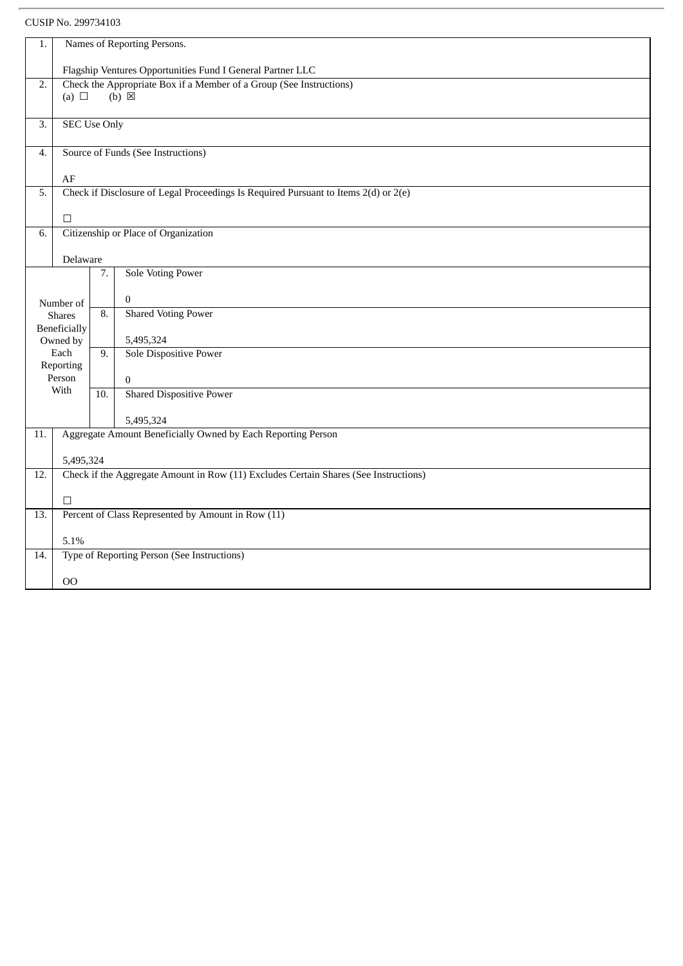CUSIP No. 299734103

| 1.                                                                                      | Names of Reporting Persons.                                |                  |                                                                                      |  |  |
|-----------------------------------------------------------------------------------------|------------------------------------------------------------|------------------|--------------------------------------------------------------------------------------|--|--|
|                                                                                         | Flagship Ventures Opportunities Fund I General Partner LLC |                  |                                                                                      |  |  |
| Check the Appropriate Box if a Member of a Group (See Instructions)<br>$\overline{2}$ . |                                                            |                  |                                                                                      |  |  |
|                                                                                         | (a) $\Box$                                                 |                  | $(b) \boxtimes$                                                                      |  |  |
|                                                                                         |                                                            |                  |                                                                                      |  |  |
| 3.                                                                                      | <b>SEC Use Only</b>                                        |                  |                                                                                      |  |  |
| 4.                                                                                      | Source of Funds (See Instructions)                         |                  |                                                                                      |  |  |
|                                                                                         | AF                                                         |                  |                                                                                      |  |  |
| 5.                                                                                      |                                                            |                  | Check if Disclosure of Legal Proceedings Is Required Pursuant to Items 2(d) or 2(e)  |  |  |
|                                                                                         |                                                            |                  |                                                                                      |  |  |
|                                                                                         | $\Box$                                                     |                  |                                                                                      |  |  |
| 6.                                                                                      |                                                            |                  | Citizenship or Place of Organization                                                 |  |  |
|                                                                                         | Delaware                                                   |                  |                                                                                      |  |  |
|                                                                                         |                                                            | 7.               | <b>Sole Voting Power</b>                                                             |  |  |
|                                                                                         |                                                            |                  |                                                                                      |  |  |
|                                                                                         | Number of                                                  | $\overline{8}$ . | $\mathbf{0}$                                                                         |  |  |
|                                                                                         | <b>Shares</b>                                              |                  | <b>Shared Voting Power</b>                                                           |  |  |
|                                                                                         | Beneficially<br>Owned by                                   |                  | 5,495,324                                                                            |  |  |
|                                                                                         | Each                                                       | 9.               | Sole Dispositive Power                                                               |  |  |
|                                                                                         | Reporting                                                  |                  |                                                                                      |  |  |
|                                                                                         | Person                                                     |                  | $\mathbf{0}$                                                                         |  |  |
|                                                                                         | With                                                       | 10.              | <b>Shared Dispositive Power</b>                                                      |  |  |
|                                                                                         |                                                            |                  | 5,495,324                                                                            |  |  |
| 11.                                                                                     |                                                            |                  | Aggregate Amount Beneficially Owned by Each Reporting Person                         |  |  |
|                                                                                         |                                                            |                  |                                                                                      |  |  |
|                                                                                         | 5,495,324                                                  |                  |                                                                                      |  |  |
| 12.                                                                                     |                                                            |                  | Check if the Aggregate Amount in Row (11) Excludes Certain Shares (See Instructions) |  |  |
|                                                                                         | $\Box$                                                     |                  |                                                                                      |  |  |
| 13.                                                                                     | Percent of Class Represented by Amount in Row (11)         |                  |                                                                                      |  |  |
|                                                                                         |                                                            |                  |                                                                                      |  |  |
|                                                                                         | 5.1%                                                       |                  |                                                                                      |  |  |
| 14.                                                                                     |                                                            |                  | Type of Reporting Person (See Instructions)                                          |  |  |
|                                                                                         |                                                            |                  |                                                                                      |  |  |
|                                                                                         | 00                                                         |                  |                                                                                      |  |  |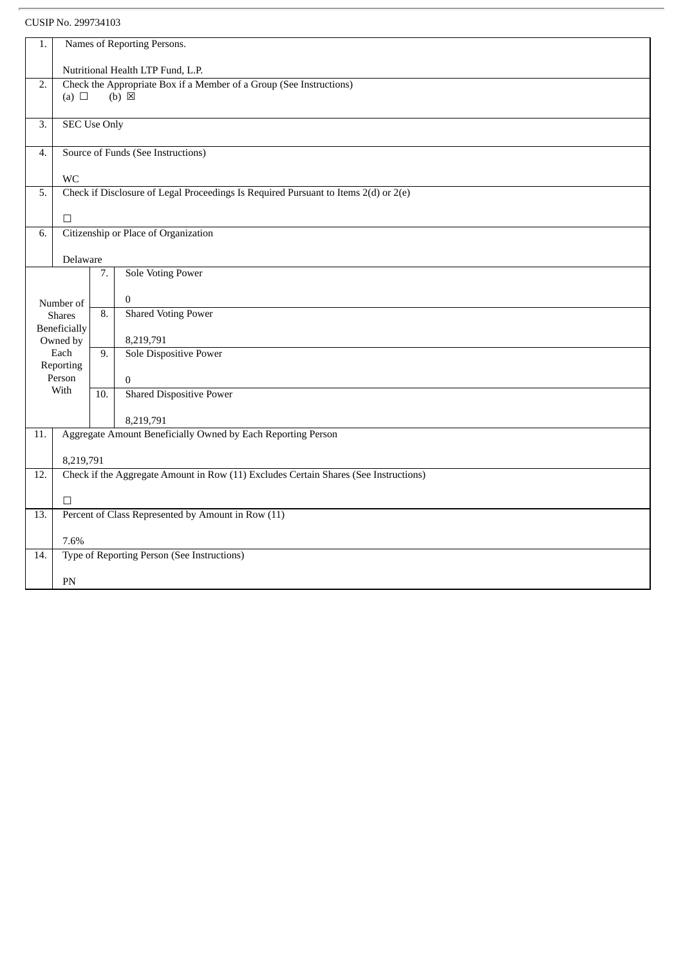| 1.               | Names of Reporting Persons.                                         |                   |                                                                                      |  |  |
|------------------|---------------------------------------------------------------------|-------------------|--------------------------------------------------------------------------------------|--|--|
|                  | Nutritional Health LTP Fund, L.P.                                   |                   |                                                                                      |  |  |
| $\overline{2}$ . | Check the Appropriate Box if a Member of a Group (See Instructions) |                   |                                                                                      |  |  |
|                  | $(b)$ $\boxtimes$<br>(a) $\Box$                                     |                   |                                                                                      |  |  |
|                  |                                                                     |                   |                                                                                      |  |  |
| 3.               | <b>SEC Use Only</b>                                                 |                   |                                                                                      |  |  |
| 4.               | Source of Funds (See Instructions)                                  |                   |                                                                                      |  |  |
|                  |                                                                     |                   |                                                                                      |  |  |
| 5.               | <b>WC</b>                                                           |                   | Check if Disclosure of Legal Proceedings Is Required Pursuant to Items 2(d) or 2(e)  |  |  |
|                  |                                                                     |                   |                                                                                      |  |  |
|                  | $\Box$                                                              |                   |                                                                                      |  |  |
| 6.               |                                                                     |                   | Citizenship or Place of Organization                                                 |  |  |
|                  |                                                                     |                   |                                                                                      |  |  |
|                  | Delaware                                                            |                   |                                                                                      |  |  |
|                  |                                                                     | 7.                | <b>Sole Voting Power</b>                                                             |  |  |
|                  | Number of                                                           |                   | $\mathbf{0}$                                                                         |  |  |
|                  | <b>Shares</b>                                                       | $\overline{8}$ .  | <b>Shared Voting Power</b>                                                           |  |  |
|                  | Beneficially                                                        |                   |                                                                                      |  |  |
|                  | Owned by                                                            |                   | 8,219,791                                                                            |  |  |
|                  | Each                                                                | 9.                | <b>Sole Dispositive Power</b>                                                        |  |  |
|                  | Reporting<br>Person                                                 |                   | $\overline{0}$                                                                       |  |  |
|                  | With                                                                | $\overline{10}$ . | <b>Shared Dispositive Power</b>                                                      |  |  |
|                  |                                                                     |                   |                                                                                      |  |  |
|                  |                                                                     |                   | 8,219,791                                                                            |  |  |
| 11.              |                                                                     |                   | Aggregate Amount Beneficially Owned by Each Reporting Person                         |  |  |
|                  | 8,219,791                                                           |                   |                                                                                      |  |  |
| 12.              |                                                                     |                   | Check if the Aggregate Amount in Row (11) Excludes Certain Shares (See Instructions) |  |  |
|                  |                                                                     |                   |                                                                                      |  |  |
|                  | $\Box$                                                              |                   |                                                                                      |  |  |
| 13.              | Percent of Class Represented by Amount in Row (11)                  |                   |                                                                                      |  |  |
|                  | 7.6%                                                                |                   |                                                                                      |  |  |
| 14.              |                                                                     |                   | Type of Reporting Person (See Instructions)                                          |  |  |
|                  |                                                                     |                   |                                                                                      |  |  |
|                  | PN                                                                  |                   |                                                                                      |  |  |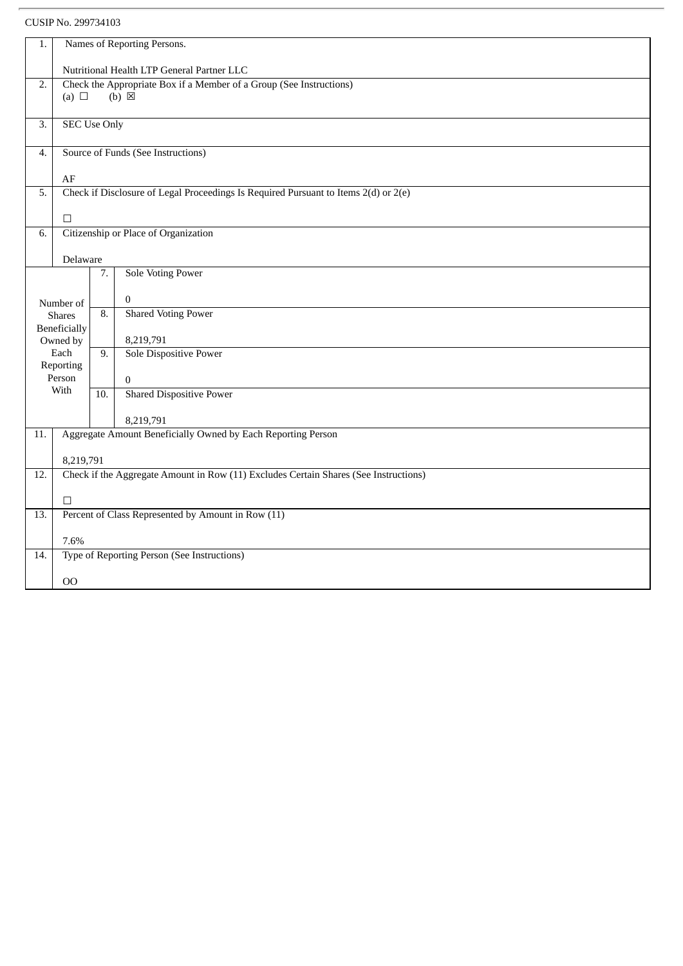| 1.                                                                                                   | Names of Reporting Persons.                        |                   |                                                                                      |  |  |
|------------------------------------------------------------------------------------------------------|----------------------------------------------------|-------------------|--------------------------------------------------------------------------------------|--|--|
|                                                                                                      |                                                    |                   |                                                                                      |  |  |
| $\overline{2}$ .                                                                                     | Nutritional Health LTP General Partner LLC         |                   |                                                                                      |  |  |
| Check the Appropriate Box if a Member of a Group (See Instructions)<br>$(b) \boxtimes$<br>(a) $\Box$ |                                                    |                   |                                                                                      |  |  |
|                                                                                                      |                                                    |                   |                                                                                      |  |  |
| 3.                                                                                                   | <b>SEC Use Only</b>                                |                   |                                                                                      |  |  |
|                                                                                                      |                                                    |                   |                                                                                      |  |  |
| 4.                                                                                                   | Source of Funds (See Instructions)                 |                   |                                                                                      |  |  |
|                                                                                                      | AF                                                 |                   |                                                                                      |  |  |
| 5.                                                                                                   |                                                    |                   | Check if Disclosure of Legal Proceedings Is Required Pursuant to Items 2(d) or 2(e)  |  |  |
|                                                                                                      |                                                    |                   |                                                                                      |  |  |
|                                                                                                      | $\Box$                                             |                   |                                                                                      |  |  |
| 6.                                                                                                   |                                                    |                   | Citizenship or Place of Organization                                                 |  |  |
|                                                                                                      |                                                    |                   |                                                                                      |  |  |
|                                                                                                      | Delaware                                           |                   |                                                                                      |  |  |
|                                                                                                      |                                                    | 7.                | <b>Sole Voting Power</b>                                                             |  |  |
|                                                                                                      |                                                    |                   | $\mathbf{0}$                                                                         |  |  |
|                                                                                                      | Number of<br><b>Shares</b>                         | 8.                | <b>Shared Voting Power</b>                                                           |  |  |
|                                                                                                      | Beneficially                                       |                   |                                                                                      |  |  |
|                                                                                                      | Owned by                                           |                   | 8,219,791                                                                            |  |  |
|                                                                                                      | Each                                               | 9.                | Sole Dispositive Power                                                               |  |  |
|                                                                                                      | Reporting                                          |                   |                                                                                      |  |  |
|                                                                                                      | Person<br>With                                     |                   | $\overline{0}$                                                                       |  |  |
|                                                                                                      |                                                    | $\overline{10}$ . | <b>Shared Dispositive Power</b>                                                      |  |  |
|                                                                                                      |                                                    |                   | 8,219,791                                                                            |  |  |
| 11.                                                                                                  |                                                    |                   | Aggregate Amount Beneficially Owned by Each Reporting Person                         |  |  |
|                                                                                                      |                                                    |                   |                                                                                      |  |  |
|                                                                                                      | 8,219,791                                          |                   |                                                                                      |  |  |
| 12.                                                                                                  |                                                    |                   | Check if the Aggregate Amount in Row (11) Excludes Certain Shares (See Instructions) |  |  |
|                                                                                                      |                                                    |                   |                                                                                      |  |  |
|                                                                                                      | $\Box$                                             |                   |                                                                                      |  |  |
| 13.                                                                                                  | Percent of Class Represented by Amount in Row (11) |                   |                                                                                      |  |  |
|                                                                                                      | 7.6%                                               |                   |                                                                                      |  |  |
| 14.                                                                                                  |                                                    |                   | Type of Reporting Person (See Instructions)                                          |  |  |
|                                                                                                      |                                                    |                   |                                                                                      |  |  |
|                                                                                                      | 00                                                 |                   |                                                                                      |  |  |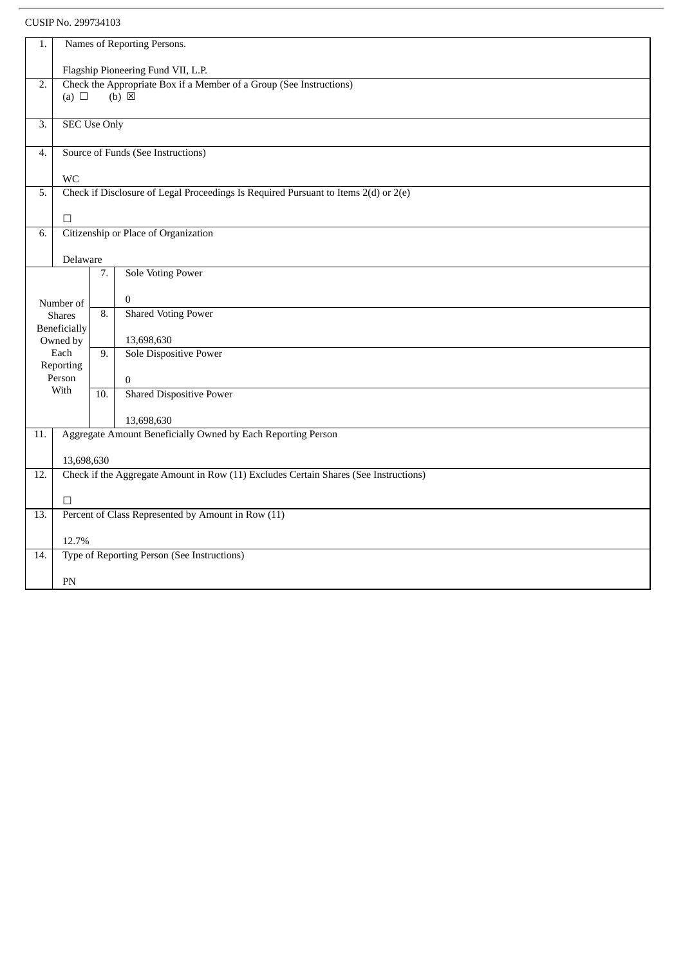| 1.  | Names of Reporting Persons.                                         |                  |                                                                                      |  |  |
|-----|---------------------------------------------------------------------|------------------|--------------------------------------------------------------------------------------|--|--|
|     | Flagship Pioneering Fund VII, L.P.                                  |                  |                                                                                      |  |  |
| 2.  | Check the Appropriate Box if a Member of a Group (See Instructions) |                  |                                                                                      |  |  |
|     | (a) $\Box$                                                          |                  | $(b) \boxtimes$                                                                      |  |  |
| 3.  | <b>SEC Use Only</b>                                                 |                  |                                                                                      |  |  |
| 4.  | Source of Funds (See Instructions)                                  |                  |                                                                                      |  |  |
|     | <b>WC</b>                                                           |                  |                                                                                      |  |  |
| 5.  |                                                                     |                  | Check if Disclosure of Legal Proceedings Is Required Pursuant to Items 2(d) or 2(e)  |  |  |
|     | $\Box$                                                              |                  |                                                                                      |  |  |
| 6.  |                                                                     |                  | Citizenship or Place of Organization                                                 |  |  |
|     |                                                                     |                  |                                                                                      |  |  |
|     | Delaware                                                            | 7.               | <b>Sole Voting Power</b>                                                             |  |  |
|     |                                                                     |                  |                                                                                      |  |  |
|     | Number of                                                           |                  | 0                                                                                    |  |  |
|     | <b>Shares</b>                                                       | 8.               | <b>Shared Voting Power</b>                                                           |  |  |
|     | Beneficially<br>Owned by                                            |                  | 13,698,630                                                                           |  |  |
|     | Each                                                                | $\overline{9}$ . | <b>Sole Dispositive Power</b>                                                        |  |  |
|     | Reporting<br>Person                                                 |                  |                                                                                      |  |  |
|     | With                                                                | 10.              | $\boldsymbol{0}$<br><b>Shared Dispositive Power</b>                                  |  |  |
|     |                                                                     |                  |                                                                                      |  |  |
|     |                                                                     |                  | 13,698,630                                                                           |  |  |
| 11. |                                                                     |                  | Aggregate Amount Beneficially Owned by Each Reporting Person                         |  |  |
|     | 13,698,630                                                          |                  |                                                                                      |  |  |
| 12. |                                                                     |                  | Check if the Aggregate Amount in Row (11) Excludes Certain Shares (See Instructions) |  |  |
|     | $\Box$                                                              |                  |                                                                                      |  |  |
| 13. | Percent of Class Represented by Amount in Row (11)                  |                  |                                                                                      |  |  |
|     | 12.7%                                                               |                  |                                                                                      |  |  |
| 14. |                                                                     |                  | Type of Reporting Person (See Instructions)                                          |  |  |
|     | PN                                                                  |                  |                                                                                      |  |  |
|     |                                                                     |                  |                                                                                      |  |  |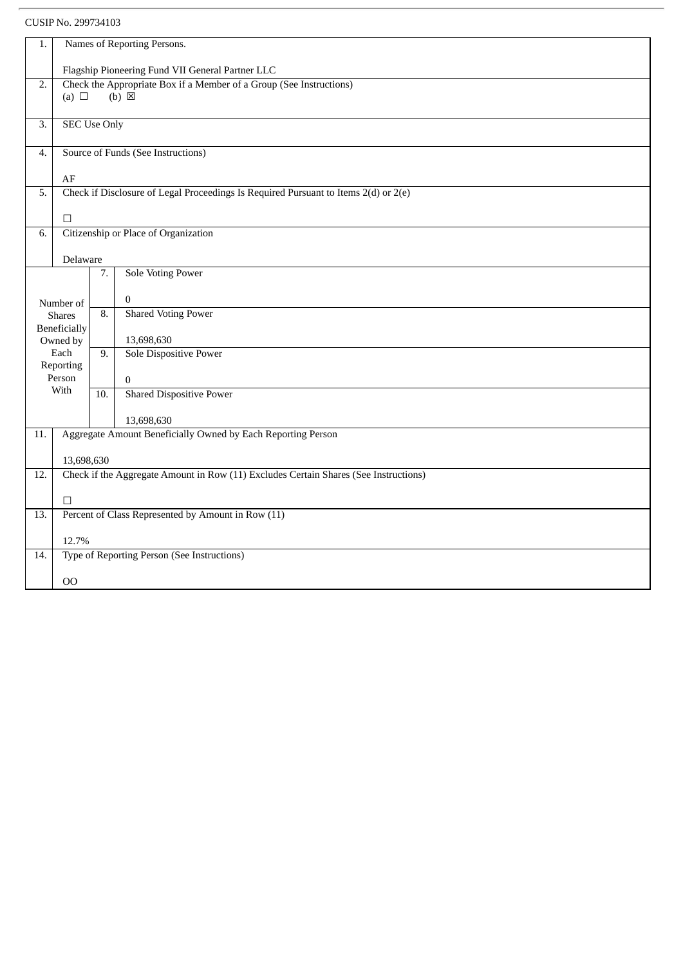| 1.  | Names of Reporting Persons.                                                                                |     |                                                                                      |  |  |
|-----|------------------------------------------------------------------------------------------------------------|-----|--------------------------------------------------------------------------------------|--|--|
|     |                                                                                                            |     |                                                                                      |  |  |
|     | Flagship Pioneering Fund VII General Partner LLC                                                           |     |                                                                                      |  |  |
|     | Check the Appropriate Box if a Member of a Group (See Instructions)<br>2.<br>(a) $\Box$<br>$(b) \boxtimes$ |     |                                                                                      |  |  |
|     |                                                                                                            |     |                                                                                      |  |  |
| 3.  | <b>SEC Use Only</b>                                                                                        |     |                                                                                      |  |  |
|     |                                                                                                            |     |                                                                                      |  |  |
| 4.  | Source of Funds (See Instructions)                                                                         |     |                                                                                      |  |  |
|     | $\rm AF$                                                                                                   |     |                                                                                      |  |  |
| 5.  |                                                                                                            |     | Check if Disclosure of Legal Proceedings Is Required Pursuant to Items 2(d) or 2(e)  |  |  |
|     | $\Box$                                                                                                     |     |                                                                                      |  |  |
| 6.  |                                                                                                            |     | Citizenship or Place of Organization                                                 |  |  |
|     |                                                                                                            |     |                                                                                      |  |  |
|     | Delaware                                                                                                   |     |                                                                                      |  |  |
|     |                                                                                                            | 7.  | <b>Sole Voting Power</b>                                                             |  |  |
|     | Number of                                                                                                  |     | $\Omega$                                                                             |  |  |
|     | <b>Shares</b>                                                                                              | 8.  | <b>Shared Voting Power</b>                                                           |  |  |
|     | Beneficially                                                                                               |     |                                                                                      |  |  |
|     | Owned by<br>Each                                                                                           | 9.  | 13,698,630<br>Sole Dispositive Power                                                 |  |  |
|     | Reporting                                                                                                  |     |                                                                                      |  |  |
|     | Person                                                                                                     |     | $\bf{0}$                                                                             |  |  |
|     | With                                                                                                       | 10. | <b>Shared Dispositive Power</b>                                                      |  |  |
|     |                                                                                                            |     | 13,698,630                                                                           |  |  |
| 11. |                                                                                                            |     | Aggregate Amount Beneficially Owned by Each Reporting Person                         |  |  |
|     |                                                                                                            |     |                                                                                      |  |  |
|     | 13,698,630                                                                                                 |     |                                                                                      |  |  |
| 12. |                                                                                                            |     | Check if the Aggregate Amount in Row (11) Excludes Certain Shares (See Instructions) |  |  |
|     | $\Box$                                                                                                     |     |                                                                                      |  |  |
| 13. | Percent of Class Represented by Amount in Row (11)                                                         |     |                                                                                      |  |  |
|     | 12.7%                                                                                                      |     |                                                                                      |  |  |
| 14. |                                                                                                            |     | Type of Reporting Person (See Instructions)                                          |  |  |
|     |                                                                                                            |     |                                                                                      |  |  |
|     | 00                                                                                                         |     |                                                                                      |  |  |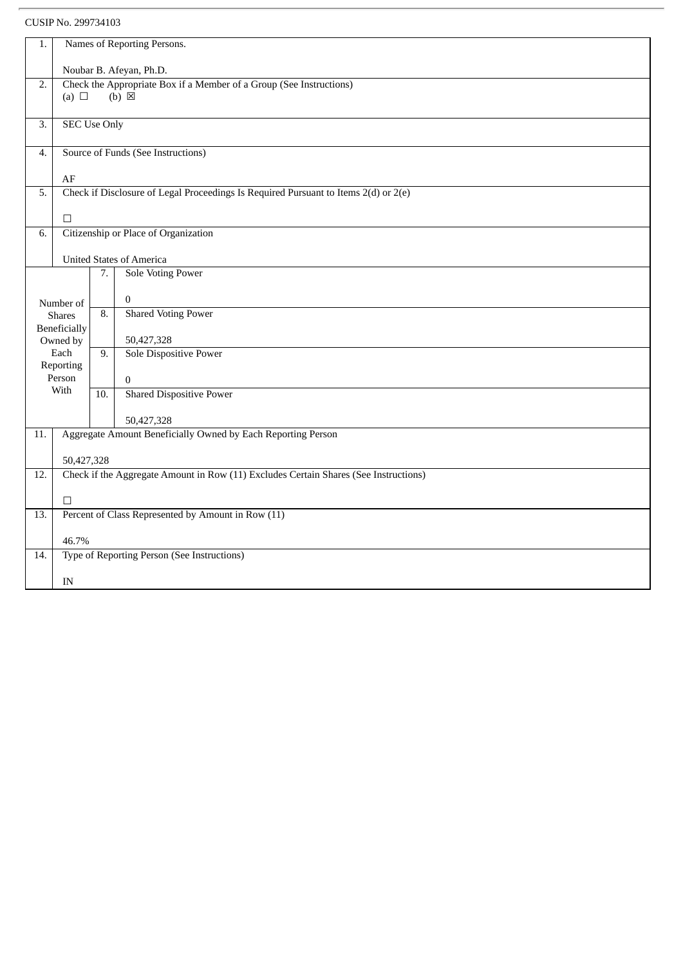| 1.                                                                                                                       | Names of Reporting Persons.        |                  |                                                                                      |  |  |
|--------------------------------------------------------------------------------------------------------------------------|------------------------------------|------------------|--------------------------------------------------------------------------------------|--|--|
|                                                                                                                          | Noubar B. Afeyan, Ph.D.            |                  |                                                                                      |  |  |
| Check the Appropriate Box if a Member of a Group (See Instructions)<br>$\overline{2}$ .<br>$(b) \boxtimes$<br>(a) $\Box$ |                                    |                  |                                                                                      |  |  |
|                                                                                                                          |                                    |                  |                                                                                      |  |  |
| 3.                                                                                                                       | <b>SEC Use Only</b>                |                  |                                                                                      |  |  |
| $\boldsymbol{4}$ .                                                                                                       | Source of Funds (See Instructions) |                  |                                                                                      |  |  |
|                                                                                                                          | $\rm AF$                           |                  |                                                                                      |  |  |
| 5.                                                                                                                       |                                    |                  | Check if Disclosure of Legal Proceedings Is Required Pursuant to Items 2(d) or 2(e)  |  |  |
|                                                                                                                          | $\Box$                             |                  |                                                                                      |  |  |
| 6.                                                                                                                       |                                    |                  | Citizenship or Place of Organization                                                 |  |  |
|                                                                                                                          |                                    |                  | <b>United States of America</b>                                                      |  |  |
|                                                                                                                          |                                    | 7.               | <b>Sole Voting Power</b>                                                             |  |  |
|                                                                                                                          | Number of                          |                  | $\mathbf{0}$                                                                         |  |  |
|                                                                                                                          | <b>Shares</b>                      | 8.               | <b>Shared Voting Power</b>                                                           |  |  |
|                                                                                                                          | Beneficially<br>Owned by           |                  | 50,427,328                                                                           |  |  |
|                                                                                                                          | Each<br>Reporting                  | $\overline{9}$ . | Sole Dispositive Power                                                               |  |  |
|                                                                                                                          | Person                             |                  | $\boldsymbol{0}$                                                                     |  |  |
|                                                                                                                          | With                               | 10.              | <b>Shared Dispositive Power</b>                                                      |  |  |
|                                                                                                                          |                                    |                  | 50,427,328                                                                           |  |  |
| 11.                                                                                                                      |                                    |                  | Aggregate Amount Beneficially Owned by Each Reporting Person                         |  |  |
|                                                                                                                          | 50,427,328                         |                  |                                                                                      |  |  |
| 12.                                                                                                                      |                                    |                  | Check if the Aggregate Amount in Row (11) Excludes Certain Shares (See Instructions) |  |  |
|                                                                                                                          | $\Box$                             |                  |                                                                                      |  |  |
| 13.                                                                                                                      |                                    |                  | Percent of Class Represented by Amount in Row (11)                                   |  |  |
|                                                                                                                          | 46.7%                              |                  |                                                                                      |  |  |
| 14.                                                                                                                      |                                    |                  | Type of Reporting Person (See Instructions)                                          |  |  |
|                                                                                                                          | IN                                 |                  |                                                                                      |  |  |
|                                                                                                                          |                                    |                  |                                                                                      |  |  |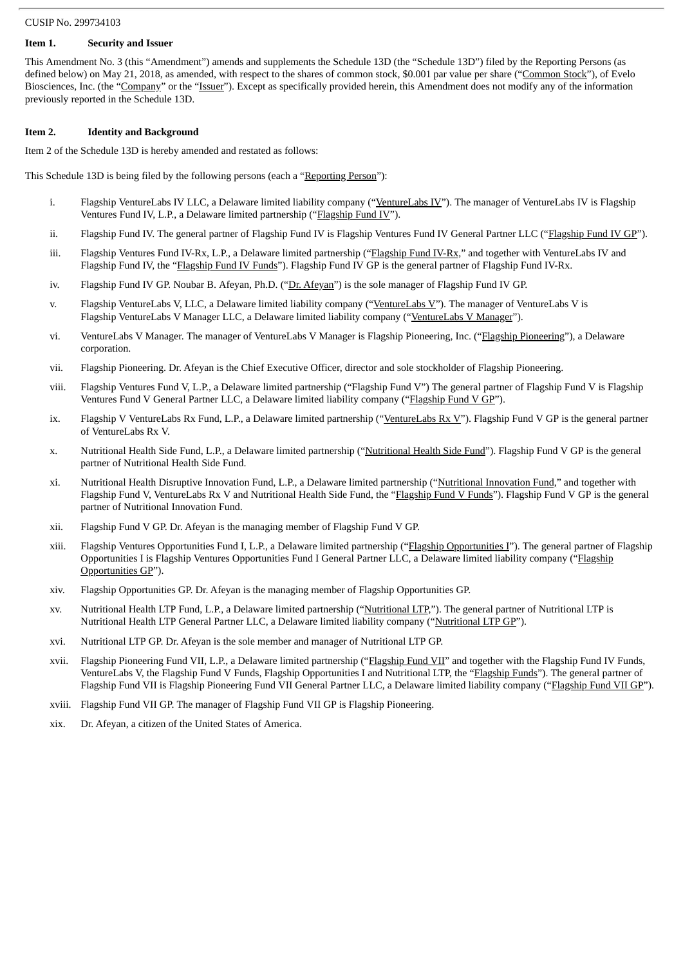#### **Item 1. Security and Issuer**

This Amendment No. 3 (this "Amendment") amends and supplements the Schedule 13D (the "Schedule 13D") filed by the Reporting Persons (as defined below) on May 21, 2018, as amended, with respect to the shares of common stock, \$0.001 par value per share ("Common Stock"), of Evelo Biosciences, Inc. (the "Company" or the "Issuer"). Except as specifically provided herein, this Amendment does not modify any of the information previously reported in the Schedule 13D.

#### **Item 2. Identity and Background**

Item 2 of the Schedule 13D is hereby amended and restated as follows:

This Schedule 13D is being filed by the following persons (each a "Reporting Person"):

- i. Flagship VentureLabs IV LLC, a Delaware limited liability company ("VentureLabs IV"). The manager of VentureLabs IV is Flagship Ventures Fund IV, L.P., a Delaware limited partnership ("Flagship Fund IV").
- ii. Flagship Fund IV. The general partner of Flagship Fund IV is Flagship Ventures Fund IV General Partner LLC ("Flagship Fund IV GP").
- iii. Flagship Ventures Fund IV-Rx, L.P., a Delaware limited partnership ("Flagship Fund IV-Rx," and together with VentureLabs IV and Flagship Fund IV, the "Flagship Fund IV Funds"). Flagship Fund IV GP is the general partner of Flagship Fund IV-Rx.
- iv. Flagship Fund IV GP. Noubar B. Afeyan, Ph.D. ("Dr. Afeyan") is the sole manager of Flagship Fund IV GP.
- v. Flagship VentureLabs V, LLC, a Delaware limited liability company ("VentureLabs V"). The manager of VentureLabs V is Flagship VentureLabs V Manager LLC, a Delaware limited liability company ("VentureLabs V Manager").
- vi. VentureLabs V Manager. The manager of VentureLabs V Manager is Flagship Pioneering, Inc. ("Flagship Pioneering"), a Delaware corporation.
- vii. Flagship Pioneering. Dr. Afeyan is the Chief Executive Officer, director and sole stockholder of Flagship Pioneering.
- viii. Flagship Ventures Fund V, L.P., a Delaware limited partnership ("Flagship Fund V") The general partner of Flagship Fund V is Flagship Ventures Fund V General Partner LLC, a Delaware limited liability company ("Flagship Fund V GP").
- ix. Flagship V VentureLabs Rx Fund, L.P., a Delaware limited partnership ("VentureLabs Rx V"). Flagship Fund V GP is the general partner of VentureLabs Rx V.
- x. Nutritional Health Side Fund, L.P., a Delaware limited partnership ("Nutritional Health Side Fund"). Flagship Fund V GP is the general partner of Nutritional Health Side Fund.
- xi. Nutritional Health Disruptive Innovation Fund, L.P., a Delaware limited partnership ("Nutritional Innovation Fund," and together with Flagship Fund V, VentureLabs Rx V and Nutritional Health Side Fund, the "Flagship Fund V Funds"). Flagship Fund V GP is the general partner of Nutritional Innovation Fund.
- xii. Flagship Fund V GP. Dr. Afeyan is the managing member of Flagship Fund V GP.
- xiii. Flagship Ventures Opportunities Fund I, L.P., a Delaware limited partnership ("Flagship Opportunities I"). The general partner of Flagship Opportunities I is Flagship Ventures Opportunities Fund I General Partner LLC, a Delaware limited liability company ("Flagship Opportunities GP").
- xiv. Flagship Opportunities GP. Dr. Afeyan is the managing member of Flagship Opportunities GP.
- xv. Nutritional Health LTP Fund, L.P., a Delaware limited partnership ("Nutritional LTP,"). The general partner of Nutritional LTP is Nutritional Health LTP General Partner LLC, a Delaware limited liability company ("Nutritional LTP GP").
- xvi. Nutritional LTP GP. Dr. Afeyan is the sole member and manager of Nutritional LTP GP.
- xvii. Flagship Pioneering Fund VII, L.P., a Delaware limited partnership ("Flagship Fund VII" and together with the Flagship Fund IV Funds, VentureLabs V, the Flagship Fund V Funds, Flagship Opportunities I and Nutritional LTP, the "Flagship Funds"). The general partner of Flagship Fund VII is Flagship Pioneering Fund VII General Partner LLC, a Delaware limited liability company ("Flagship Fund VII GP").
- xviii. Flagship Fund VII GP. The manager of Flagship Fund VII GP is Flagship Pioneering.
- xix. Dr. Afeyan, a citizen of the United States of America.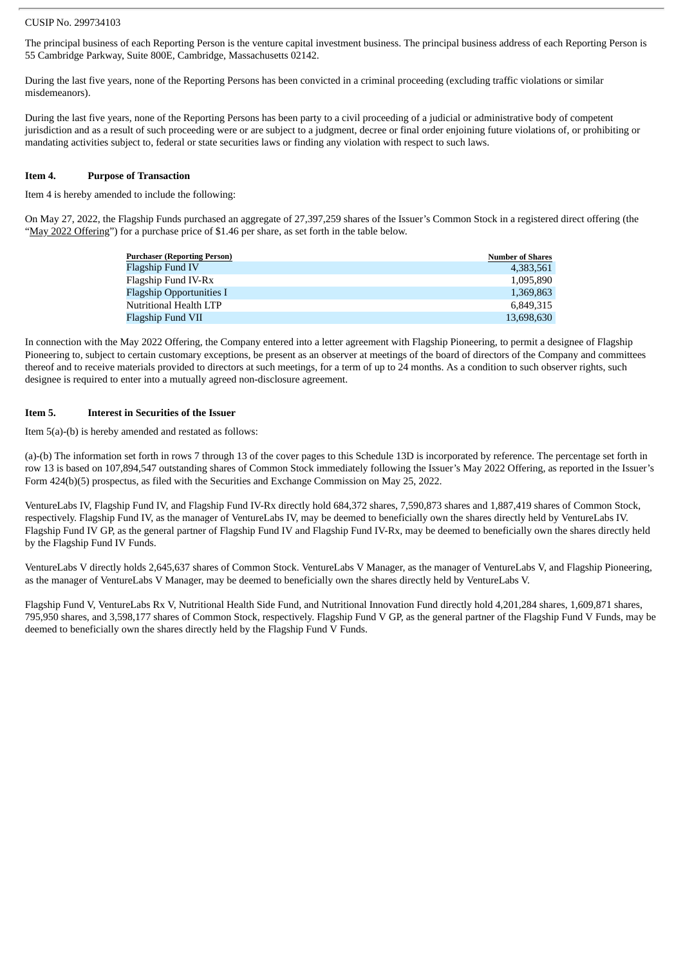The principal business of each Reporting Person is the venture capital investment business. The principal business address of each Reporting Person is 55 Cambridge Parkway, Suite 800E, Cambridge, Massachusetts 02142.

During the last five years, none of the Reporting Persons has been convicted in a criminal proceeding (excluding traffic violations or similar misdemeanors).

During the last five years, none of the Reporting Persons has been party to a civil proceeding of a judicial or administrative body of competent jurisdiction and as a result of such proceeding were or are subject to a judgment, decree or final order enjoining future violations of, or prohibiting or mandating activities subject to, federal or state securities laws or finding any violation with respect to such laws.

#### **Item 4. Purpose of Transaction**

Item 4 is hereby amended to include the following:

On May 27, 2022, the Flagship Funds purchased an aggregate of 27,397,259 shares of the Issuer's Common Stock in a registered direct offering (the "May 2022 Offering") for a purchase price of \$1.46 per share, as set forth in the table below.

| <b>Purchaser (Reporting Person)</b> | <b>Number of Shares</b> |
|-------------------------------------|-------------------------|
| Flagship Fund IV                    | 4,383,561               |
| Flagship Fund IV-Rx                 | 1.095.890               |
| <b>Flagship Opportunities I</b>     | 1.369.863               |
| Nutritional Health LTP              | 6.849.315               |
| Flagship Fund VII                   | 13,698,630              |

In connection with the May 2022 Offering, the Company entered into a letter agreement with Flagship Pioneering, to permit a designee of Flagship Pioneering to, subject to certain customary exceptions, be present as an observer at meetings of the board of directors of the Company and committees thereof and to receive materials provided to directors at such meetings, for a term of up to 24 months. As a condition to such observer rights, such designee is required to enter into a mutually agreed non-disclosure agreement.

#### **Item 5. Interest in Securities of the Issuer**

Item 5(a)-(b) is hereby amended and restated as follows:

(a)-(b) The information set forth in rows 7 through 13 of the cover pages to this Schedule 13D is incorporated by reference. The percentage set forth in row 13 is based on 107,894,547 outstanding shares of Common Stock immediately following the Issuer's May 2022 Offering, as reported in the Issuer's Form 424(b)(5) prospectus, as filed with the Securities and Exchange Commission on May 25, 2022.

VentureLabs IV, Flagship Fund IV, and Flagship Fund IV-Rx directly hold 684,372 shares, 7,590,873 shares and 1,887,419 shares of Common Stock, respectively. Flagship Fund IV, as the manager of VentureLabs IV, may be deemed to beneficially own the shares directly held by VentureLabs IV. Flagship Fund IV GP, as the general partner of Flagship Fund IV and Flagship Fund IV-Rx, may be deemed to beneficially own the shares directly held by the Flagship Fund IV Funds.

VentureLabs V directly holds 2,645,637 shares of Common Stock. VentureLabs V Manager, as the manager of VentureLabs V, and Flagship Pioneering, as the manager of VentureLabs V Manager, may be deemed to beneficially own the shares directly held by VentureLabs V.

Flagship Fund V, VentureLabs Rx V, Nutritional Health Side Fund, and Nutritional Innovation Fund directly hold 4,201,284 shares, 1,609,871 shares, 795,950 shares, and 3,598,177 shares of Common Stock, respectively. Flagship Fund V GP, as the general partner of the Flagship Fund V Funds, may be deemed to beneficially own the shares directly held by the Flagship Fund V Funds.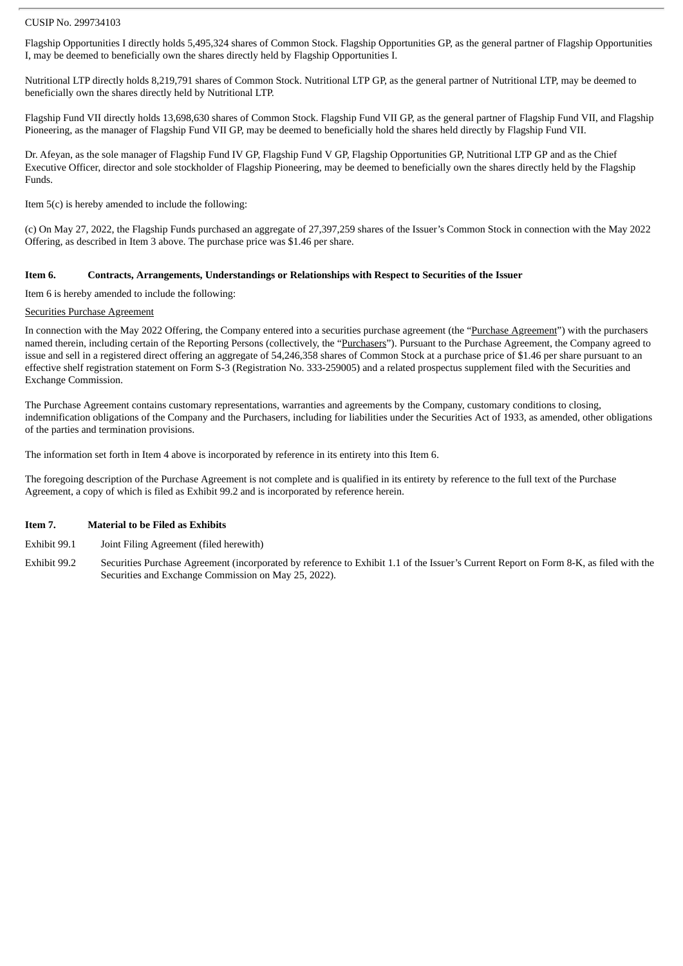Flagship Opportunities I directly holds 5,495,324 shares of Common Stock. Flagship Opportunities GP, as the general partner of Flagship Opportunities I, may be deemed to beneficially own the shares directly held by Flagship Opportunities I.

Nutritional LTP directly holds 8,219,791 shares of Common Stock. Nutritional LTP GP, as the general partner of Nutritional LTP, may be deemed to beneficially own the shares directly held by Nutritional LTP.

Flagship Fund VII directly holds 13,698,630 shares of Common Stock. Flagship Fund VII GP, as the general partner of Flagship Fund VII, and Flagship Pioneering, as the manager of Flagship Fund VII GP, may be deemed to beneficially hold the shares held directly by Flagship Fund VII.

Dr. Afeyan, as the sole manager of Flagship Fund IV GP, Flagship Fund V GP, Flagship Opportunities GP, Nutritional LTP GP and as the Chief Executive Officer, director and sole stockholder of Flagship Pioneering, may be deemed to beneficially own the shares directly held by the Flagship Funds.

Item 5(c) is hereby amended to include the following:

(c) On May 27, 2022, the Flagship Funds purchased an aggregate of 27,397,259 shares of the Issuer's Common Stock in connection with the May 2022 Offering, as described in Item 3 above. The purchase price was \$1.46 per share.

#### **Item 6. Contracts, Arrangements, Understandings or Relationships with Respect to Securities of the Issuer**

Item 6 is hereby amended to include the following:

#### Securities Purchase Agreement

In connection with the May 2022 Offering, the Company entered into a securities purchase agreement (the "Purchase Agreement") with the purchasers named therein, including certain of the Reporting Persons (collectively, the "Purchasers"). Pursuant to the Purchase Agreement, the Company agreed to issue and sell in a registered direct offering an aggregate of 54,246,358 shares of Common Stock at a purchase price of \$1.46 per share pursuant to an effective shelf registration statement on Form S-3 (Registration No. 333-259005) and a related prospectus supplement filed with the Securities and Exchange Commission.

The Purchase Agreement contains customary representations, warranties and agreements by the Company, customary conditions to closing, indemnification obligations of the Company and the Purchasers, including for liabilities under the Securities Act of 1933, as amended, other obligations of the parties and termination provisions.

The information set forth in Item 4 above is incorporated by reference in its entirety into this Item 6.

The foregoing description of the Purchase Agreement is not complete and is qualified in its entirety by reference to the full text of the Purchase Agreement, a copy of which is filed as Exhibit 99.2 and is incorporated by reference herein.

#### **Item 7. Material to be Filed as Exhibits**

- Exhibit 99.1 Joint Filing Agreement (filed herewith)
- Exhibit 99.2 Securities Purchase Agreement (incorporated by reference to Exhibit 1.1 of the Issuer's Current Report on Form 8-K, as filed with the Securities and Exchange Commission on May 25, 2022).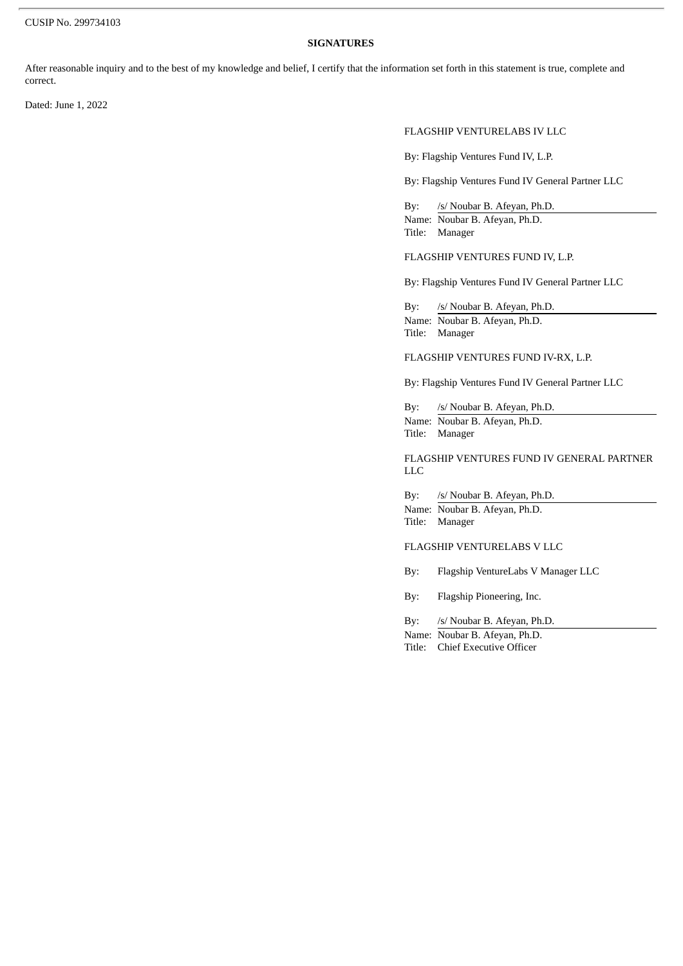#### **SIGNATURES**

After reasonable inquiry and to the best of my knowledge and belief, I certify that the information set forth in this statement is true, complete and correct.

Dated: June 1, 2022

#### FLAGSHIP VENTURELABS IV LLC

By: Flagship Ventures Fund IV, L.P.

By: Flagship Ventures Fund IV General Partner LLC

By: /s/ Noubar B. Afeyan, Ph.D. Name: Noubar B. Afeyan, Ph.D. Title: Manager

FLAGSHIP VENTURES FUND IV, L.P.

By: Flagship Ventures Fund IV General Partner LLC

By: /s/ Noubar B. Afeyan, Ph.D. Name: Noubar B. Afeyan, Ph.D. Title: Manager

FLAGSHIP VENTURES FUND IV-RX, L.P.

By: Flagship Ventures Fund IV General Partner LLC

By: /s/ Noubar B. Afeyan, Ph.D. Name: Noubar B. Afeyan, Ph.D. Title: Manager

FLAGSHIP VENTURES FUND IV GENERAL PARTNER LLC

By: /s/ Noubar B. Afeyan, Ph.D. Name: Noubar B. Afeyan, Ph.D. Title: Manager

FLAGSHIP VENTURELABS V LLC

By: Flagship VentureLabs V Manager LLC

By: Flagship Pioneering, Inc.

By: /s/ Noubar B. Afeyan, Ph.D. Name: Noubar B. Afeyan, Ph.D.

Title: Chief Executive Officer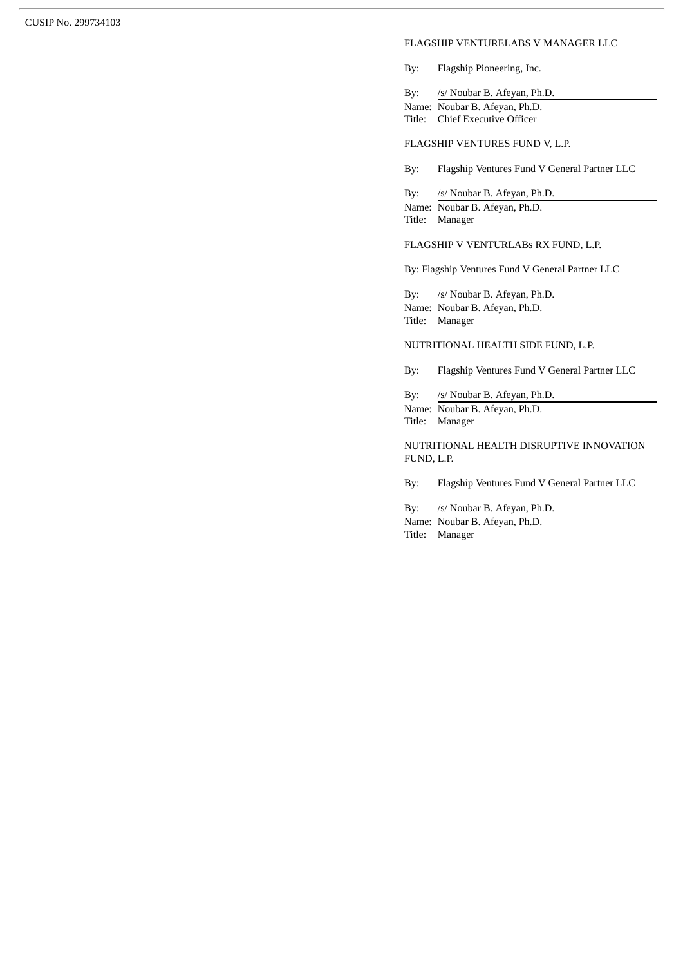#### FLAGSHIP VENTURELABS V MANAGER LLC

By: Flagship Pioneering, Inc.

By: /s/ Noubar B. Afeyan, Ph.D. Name: Noubar B. Afeyan, Ph.D. Title: Chief Executive Officer

## FLAGSHIP VENTURES FUND V, L.P.

By: Flagship Ventures Fund V General Partner LLC

By: /s/ Noubar B. Afeyan, Ph.D. Name: Noubar B. Afeyan, Ph.D. Title: Manager

#### FLAGSHIP V VENTURLABs RX FUND, L.P.

By: Flagship Ventures Fund V General Partner LLC

By: /s/ Noubar B. Afeyan, Ph.D. Name: Noubar B. Afeyan, Ph.D. Title: Manager

#### NUTRITIONAL HEALTH SIDE FUND, L.P.

By: Flagship Ventures Fund V General Partner LLC

By: /s/ Noubar B. Afeyan, Ph.D. Name: Noubar B. Afeyan, Ph.D. Title: Manager

NUTRITIONAL HEALTH DISRUPTIVE INNOVATION FUND, L.P.

By: Flagship Ventures Fund V General Partner LLC

By: /s/ Noubar B. Afeyan, Ph.D.

Name: Noubar B. Afeyan, Ph.D. Title: Manager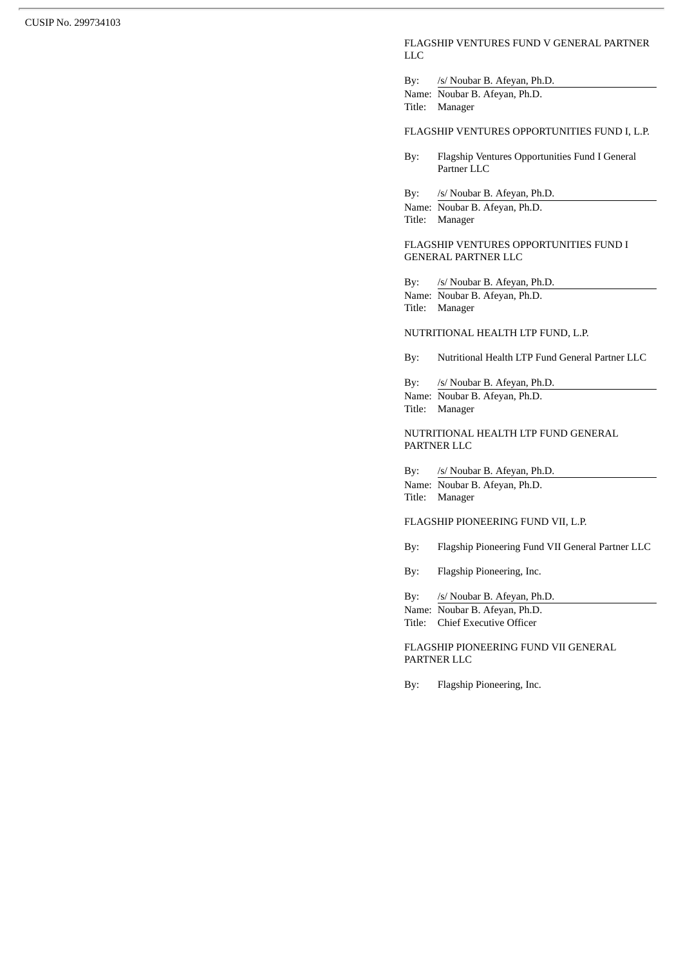#### FLAGSHIP VENTURES FUND V GENERAL PARTNER LLC

By: /s/ Noubar B. Afeyan, Ph.D. Name: Noubar B. Afeyan, Ph.D.

Title: Manager

#### FLAGSHIP VENTURES OPPORTUNITIES FUND I, L.P.

By: Flagship Ventures Opportunities Fund I General Partner LLC

By: /s/ Noubar B. Afeyan, Ph.D.

Name: Noubar B. Afeyan, Ph.D. Title: Manager

FLAGSHIP VENTURES OPPORTUNITIES FUND I GENERAL PARTNER LLC

By: /s/ Noubar B. Afeyan, Ph.D.

Name: Noubar B. Afeyan, Ph.D. Title: Manager

## NUTRITIONAL HEALTH LTP FUND, L.P.

By: Nutritional Health LTP Fund General Partner LLC

By: /s/ Noubar B. Afeyan, Ph.D. Name: Noubar B. Afeyan, Ph.D. Title: Manager

#### NUTRITIONAL HEALTH LTP FUND GENERAL PARTNER LLC

By: /s/ Noubar B. Afeyan, Ph.D. Name: Noubar B. Afeyan, Ph.D. Title: Manager

#### FLAGSHIP PIONEERING FUND VII, L.P.

By: Flagship Pioneering Fund VII General Partner LLC

By: Flagship Pioneering, Inc.

By: /s/ Noubar B. Afeyan, Ph.D.

Name: Noubar B. Afeyan, Ph.D. Title: Chief Executive Officer

FLAGSHIP PIONEERING FUND VII GENERAL PARTNER LLC

By: Flagship Pioneering, Inc.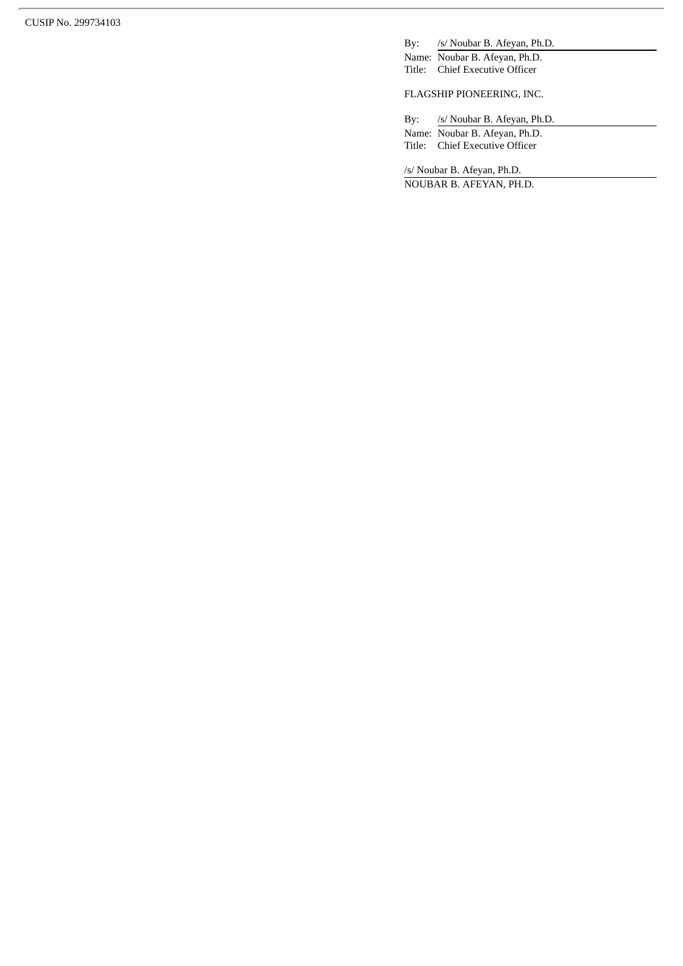By:  $/2$ s/ Noubar B. Afeyan, Ph.D.

Name: Noubar B. Afeyan, Ph.D. Title: Chief Executive Officer

FLAGSHIP PIONEERING, INC.

By: /s/ Noubar B. Afeyan, Ph.D.

Name: Noubar B. Afeyan, Ph.D. Title: Chief Executive Officer

/s/ Noubar B. Afeyan, Ph.D.

NOUBAR B. AFEYAN, PH.D.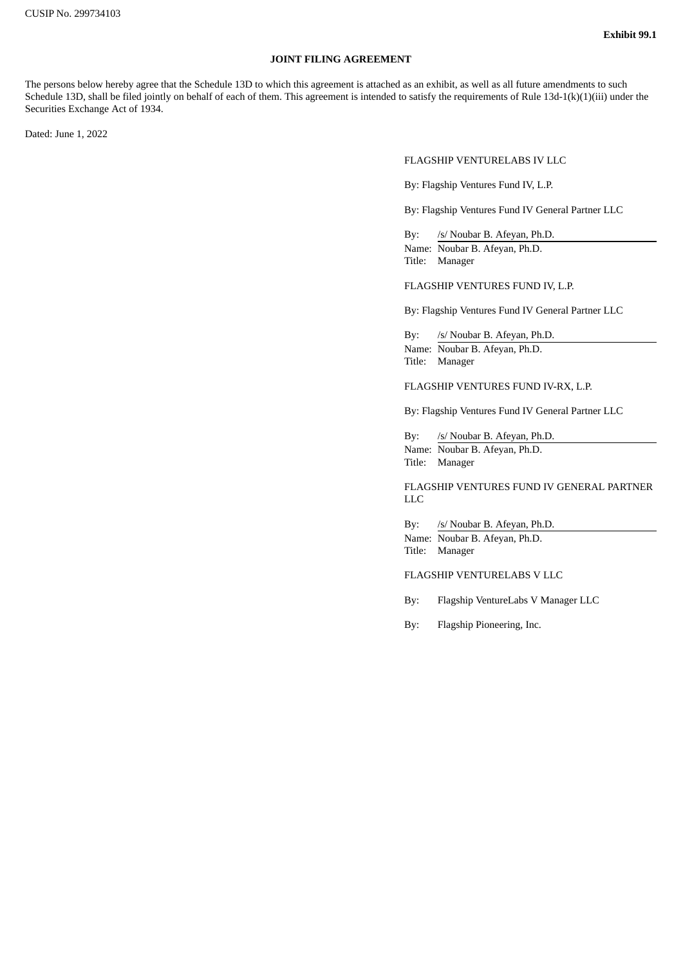## **JOINT FILING AGREEMENT**

The persons below hereby agree that the Schedule 13D to which this agreement is attached as an exhibit, as well as all future amendments to such Schedule 13D, shall be filed jointly on behalf of each of them. This agreement is intended to satisfy the requirements of Rule 13d-1(k)(1)(iii) under the Securities Exchange Act of 1934.

Dated: June 1, 2022

FLAGSHIP VENTURELABS IV LLC

By: Flagship Ventures Fund IV, L.P.

By: Flagship Ventures Fund IV General Partner LLC

By: /s/ Noubar B. Afeyan, Ph.D. Name: Noubar B. Afeyan, Ph.D. Title: Manager

FLAGSHIP VENTURES FUND IV, L.P.

By: Flagship Ventures Fund IV General Partner LLC

By: /s/ Noubar B. Afeyan, Ph.D. Name: Noubar B. Afeyan, Ph.D. Title: Manager

FLAGSHIP VENTURES FUND IV-RX, L.P.

By: Flagship Ventures Fund IV General Partner LLC

By: /s/ Noubar B. Afeyan, Ph.D. Name: Noubar B. Afeyan, Ph.D. Title: Manager

FLAGSHIP VENTURES FUND IV GENERAL PARTNER LLC

By: /s/ Noubar B. Afeyan, Ph.D. Name: Noubar B. Afeyan, Ph.D. Title: Manager

FLAGSHIP VENTURELABS V LLC

By: Flagship VentureLabs V Manager LLC

By: Flagship Pioneering, Inc.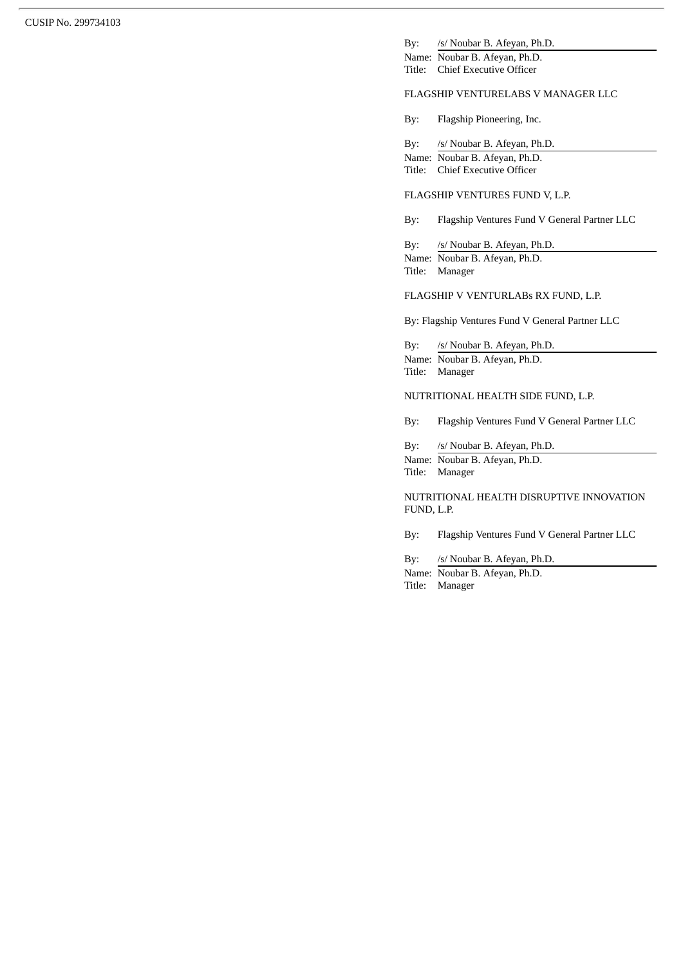By: /s/ Noubar B. Afeyan, Ph.D.

Name: Noubar B. Afeyan, Ph.D. Title: Chief Executive Officer

## FLAGSHIP VENTURELABS V MANAGER LLC

By: Flagship Pioneering, Inc.

By: /s/ Noubar B. Afeyan, Ph.D. Name: Noubar B. Afeyan, Ph.D. Title: Chief Executive Officer

#### FLAGSHIP VENTURES FUND V, L.P.

By: Flagship Ventures Fund V General Partner LLC

By: /s/ Noubar B. Afeyan, Ph.D. Name: Noubar B. Afeyan, Ph.D. Title: Manager

#### FLAGSHIP V VENTURLABs RX FUND, L.P.

By: Flagship Ventures Fund V General Partner LLC

By: /s/ Noubar B. Afeyan, Ph.D. Name: Noubar B. Afeyan, Ph.D. Title: Manager

#### NUTRITIONAL HEALTH SIDE FUND, L.P.

By: Flagship Ventures Fund V General Partner LLC

By: /s/ Noubar B. Afeyan, Ph.D. Name: Noubar B. Afeyan, Ph.D. Title: Manager

NUTRITIONAL HEALTH DISRUPTIVE INNOVATION FUND, L.P.

By: Flagship Ventures Fund V General Partner LLC

By: /s/ Noubar B. Afeyan, Ph.D.

Name: Noubar B. Afeyan, Ph.D. Title: Manager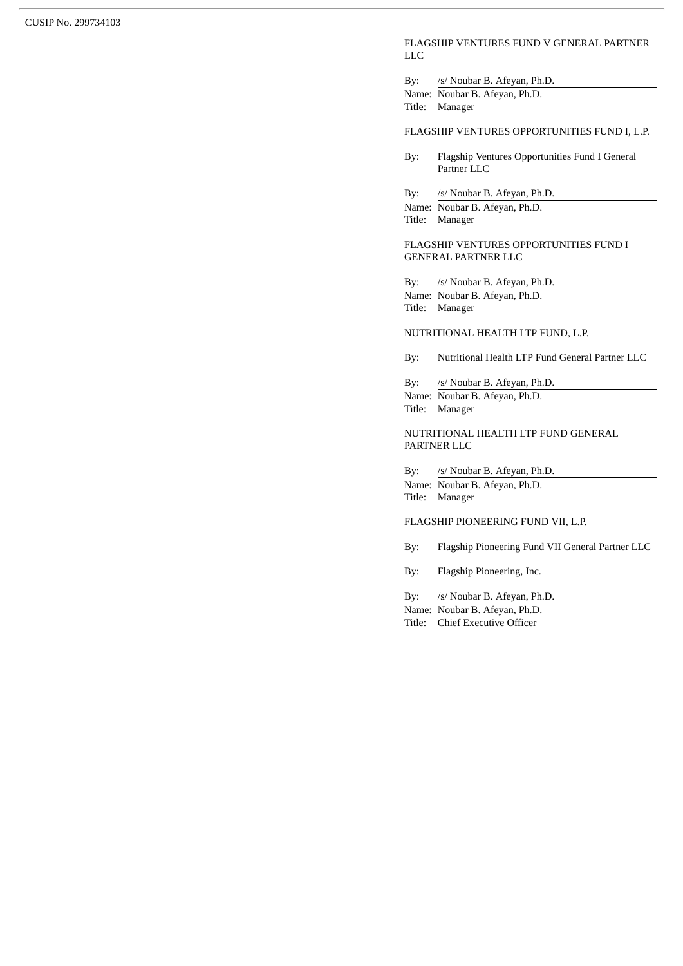#### FLAGSHIP VENTURES FUND V GENERAL PARTNER LLC

By: /s/ Noubar B. Afeyan, Ph.D. Name: Noubar B. Afeyan, Ph.D.

Title: Manager

#### FLAGSHIP VENTURES OPPORTUNITIES FUND I, L.P.

By: Flagship Ventures Opportunities Fund I General Partner LLC

By: /s/ Noubar B. Afeyan, Ph.D.

Name: Noubar B. Afeyan, Ph.D. Title: Manager

FLAGSHIP VENTURES OPPORTUNITIES FUND I GENERAL PARTNER LLC

By: /s/ Noubar B. Afeyan, Ph.D.

Name: Noubar B. Afeyan, Ph.D. Title: Manager

## NUTRITIONAL HEALTH LTP FUND, L.P.

By: Nutritional Health LTP Fund General Partner LLC

By: /s/ Noubar B. Afeyan, Ph.D. Name: Noubar B. Afeyan, Ph.D. Title: Manager

## NUTRITIONAL HEALTH LTP FUND GENERAL PARTNER LLC

By: /s/ Noubar B. Afeyan, Ph.D. Name: Noubar B. Afeyan, Ph.D. Title: Manager

## FLAGSHIP PIONEERING FUND VII, L.P.

- By: Flagship Pioneering Fund VII General Partner LLC
- By: Flagship Pioneering, Inc.

By: /s/ Noubar B. Afeyan, Ph.D.

Name: Noubar B. Afeyan, Ph.D. Title: Chief Executive Officer